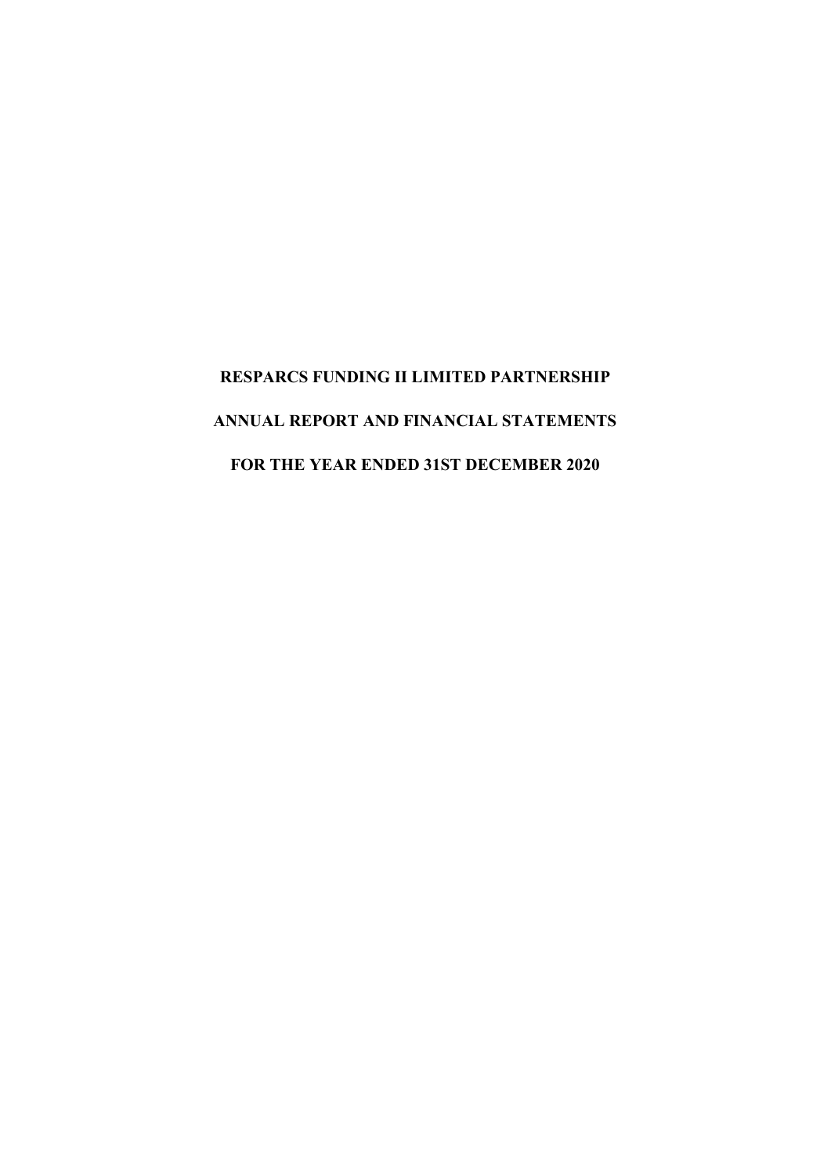# **RESPARCS FUNDING II LIMITED PARTNERSHIP ANNUAL REPORT AND FINANCIAL STATEMENTS FOR THE YEAR ENDED 31ST DECEMBER 2020**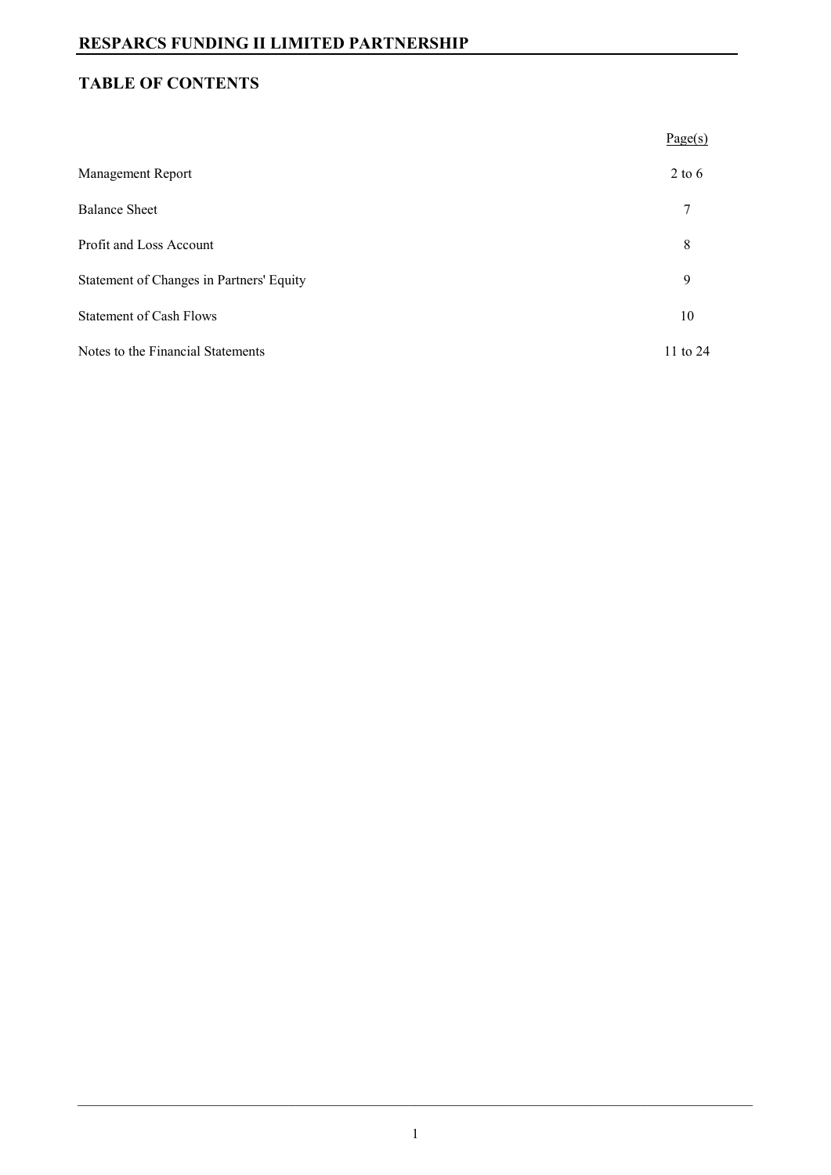## **TABLE OF CONTENTS**

|                                          | Page(s)      |
|------------------------------------------|--------------|
| <b>Management Report</b>                 | $2$ to 6     |
| <b>Balance Sheet</b>                     | 7            |
| Profit and Loss Account                  | 8            |
| Statement of Changes in Partners' Equity | 9            |
| <b>Statement of Cash Flows</b>           | 10           |
| Notes to the Financial Statements        | $11$ to $24$ |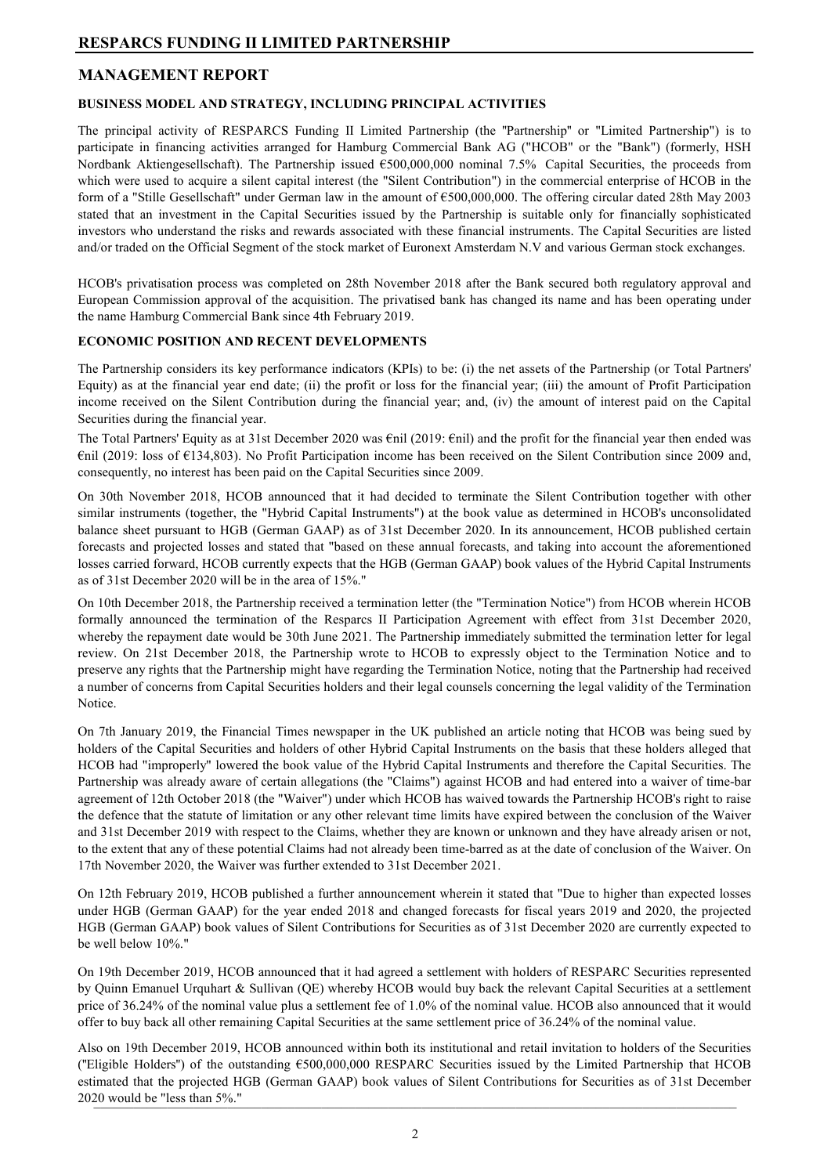## **MANAGEMENT REPORT**

#### **BUSINESS MODEL AND STRATEGY, INCLUDING PRINCIPAL ACTIVITIES**

The principal activity of RESPARCS Funding II Limited Partnership (the ''Partnership'' or "Limited Partnership") is to participate in financing activities arranged for Hamburg Commercial Bank AG ("HCOB" or the "Bank") (formerly, HSH Nordbank Aktiengesellschaft). The Partnership issued €500,000,000 nominal 7.5% Capital Securities, the proceeds from which were used to acquire a silent capital interest (the "Silent Contribution") in the commercial enterprise of HCOB in the form of a "Stille Gesellschaft" under German law in the amount of €500,000,000. The offering circular dated 28th May 2003 stated that an investment in the Capital Securities issued by the Partnership is suitable only for financially sophisticated investors who understand the risks and rewards associated with these financial instruments. The Capital Securities are listed and/or traded on the Official Segment of the stock market of Euronext Amsterdam N.V and various German stock exchanges.

HCOB's privatisation process was completed on 28th November 2018 after the Bank secured both regulatory approval and European Commission approval of the acquisition. The privatised bank has changed its name and has been operating under the name Hamburg Commercial Bank since 4th February 2019.

#### **ECONOMIC POSITION AND RECENT DEVELOPMENTS**

The Partnership considers its key performance indicators (KPIs) to be: (i) the net assets of the Partnership (or Total Partners' Equity) as at the financial year end date; (ii) the profit or loss for the financial year; (iii) the amount of Profit Participation income received on the Silent Contribution during the financial year; and, (iv) the amount of interest paid on the Capital Securities during the financial year.

The Total Partners' Equity as at 31st December 2020 was €nil (2019: €nil) and the profit for the financial year then ended was €nil (2019: loss of €134,803). No Profit Participation income has been received on the Silent Contribution since 2009 and, consequently, no interest has been paid on the Capital Securities since 2009.

On 30th November 2018, HCOB announced that it had decided to terminate the Silent Contribution together with other similar instruments (together, the "Hybrid Capital Instruments") at the book value as determined in HCOB's unconsolidated balance sheet pursuant to HGB (German GAAP) as of 31st December 2020. In its announcement, HCOB published certain forecasts and projected losses and stated that "based on these annual forecasts, and taking into account the aforementioned losses carried forward, HCOB currently expects that the HGB (German GAAP) book values of the Hybrid Capital Instruments as of 31st December 2020 will be in the area of 15%."

On 10th December 2018, the Partnership received a termination letter (the "Termination Notice") from HCOB wherein HCOB formally announced the termination of the Resparcs II Participation Agreement with effect from 31st December 2020, whereby the repayment date would be 30th June 2021. The Partnership immediately submitted the termination letter for legal review. On 21st December 2018, the Partnership wrote to HCOB to expressly object to the Termination Notice and to preserve any rights that the Partnership might have regarding the Termination Notice, noting that the Partnership had received a number of concerns from Capital Securities holders and their legal counsels concerning the legal validity of the Termination Notice.

On 7th January 2019, the Financial Times newspaper in the UK published an article noting that HCOB was being sued by holders of the Capital Securities and holders of other Hybrid Capital Instruments on the basis that these holders alleged that HCOB had "improperly" lowered the book value of the Hybrid Capital Instruments and therefore the Capital Securities. The Partnership was already aware of certain allegations (the "Claims") against HCOB and had entered into a waiver of time-bar agreement of 12th October 2018 (the "Waiver") under which HCOB has waived towards the Partnership HCOB's right to raise the defence that the statute of limitation or any other relevant time limits have expired between the conclusion of the Waiver and 31st December 2019 with respect to the Claims, whether they are known or unknown and they have already arisen or not, to the extent that any of these potential Claims had not already been time-barred as at the date of conclusion of the Waiver. On 17th November 2020, the Waiver was further extended to 31st December 2021.

On 12th February 2019, HCOB published a further announcement wherein it stated that "Due to higher than expected losses under HGB (German GAAP) for the year ended 2018 and changed forecasts for fiscal years 2019 and 2020, the projected HGB (German GAAP) book values of Silent Contributions for Securities as of 31st December 2020 are currently expected to be well below 10%."

On 19th December 2019, HCOB announced that it had agreed a settlement with holders of RESPARC Securities represented by Quinn Emanuel Urquhart & Sullivan (QE) whereby HCOB would buy back the relevant Capital Securities at a settlement price of 36.24% of the nominal value plus a settlement fee of 1.0% of the nominal value. HCOB also announced that it would offer to buy back all other remaining Capital Securities at the same settlement price of 36.24% of the nominal value.

Also on 19th December 2019, HCOB announced within both its institutional and retail invitation to holders of the Securities ("Eligible Holders") of the outstanding  $\epsilon$ 500,000,000 RESPARC Securities issued by the Limited Partnership that HCOB estimated that the projected HGB (German GAAP) book values of Silent Contributions for Securities as of 31st December 2020 would be "less than  $5\%$ ."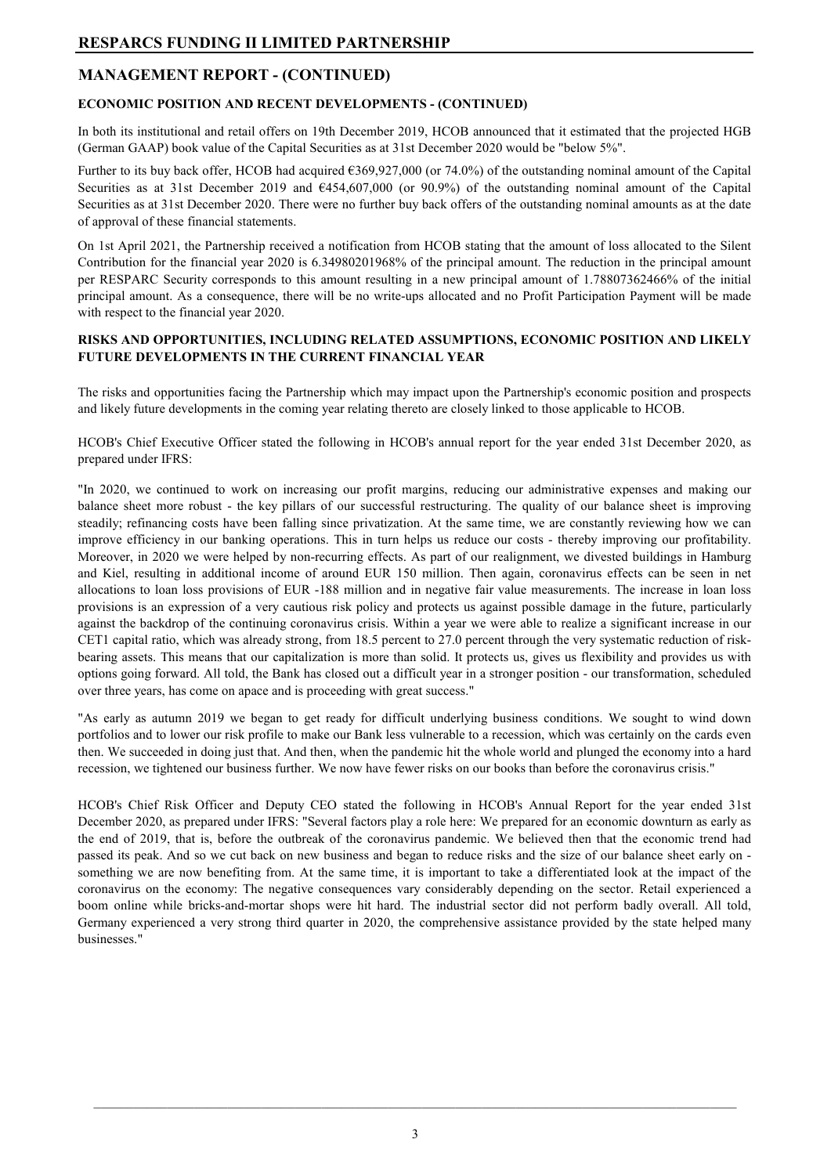#### **ECONOMIC POSITION AND RECENT DEVELOPMENTS - (CONTINUED)**

In both its institutional and retail offers on 19th December 2019, HCOB announced that it estimated that the projected HGB (German GAAP) book value of the Capital Securities as at 31st December 2020 would be "below 5%".

Further to its buy back offer, HCOB had acquired €369,927,000 (or 74.0%) of the outstanding nominal amount of the Capital Securities as at 31st December 2019 and  $6454,607,000$  (or 90.9%) of the outstanding nominal amount of the Capital Securities as at 31st December 2020. There were no further buy back offers of the outstanding nominal amounts as at the date of approval of these financial statements.

On 1st April 2021, the Partnership received a notification from HCOB stating that the amount of loss allocated to the Silent Contribution for the financial year 2020 is 6.34980201968% of the principal amount. The reduction in the principal amount per RESPARC Security corresponds to this amount resulting in a new principal amount of 1.78807362466% of the initial principal amount. As a consequence, there will be no write-ups allocated and no Profit Participation Payment will be made with respect to the financial year 2020.

#### **RISKS AND OPPORTUNITIES, INCLUDING RELATED ASSUMPTIONS, ECONOMIC POSITION AND LIKELY FUTURE DEVELOPMENTS IN THE CURRENT FINANCIAL YEAR**

The risks and opportunities facing the Partnership which may impact upon the Partnership's economic position and prospects and likely future developments in the coming year relating thereto are closely linked to those applicable to HCOB.

HCOB's Chief Executive Officer stated the following in HCOB's annual report for the year ended 31st December 2020, as prepared under IFRS:

"In 2020, we continued to work on increasing our profit margins, reducing our administrative expenses and making our balance sheet more robust - the key pillars of our successful restructuring. The quality of our balance sheet is improving steadily; refinancing costs have been falling since privatization. At the same time, we are constantly reviewing how we can improve efficiency in our banking operations. This in turn helps us reduce our costs - thereby improving our profitability. Moreover, in 2020 we were helped by non-recurring effects. As part of our realignment, we divested buildings in Hamburg and Kiel, resulting in additional income of around EUR 150 million. Then again, coronavirus effects can be seen in net allocations to loan loss provisions of EUR -188 million and in negative fair value measurements. The increase in loan loss provisions is an expression of a very cautious risk policy and protects us against possible damage in the future, particularly against the backdrop of the continuing coronavirus crisis. Within a year we were able to realize a significant increase in our CET1 capital ratio, which was already strong, from 18.5 percent to 27.0 percent through the very systematic reduction of riskbearing assets. This means that our capitalization is more than solid. It protects us, gives us flexibility and provides us with options going forward. All told, the Bank has closed out a difficult year in a stronger position - our transformation, scheduled over three years, has come on apace and is proceeding with great success."

"As early as autumn 2019 we began to get ready for difficult underlying business conditions. We sought to wind down portfolios and to lower our risk profile to make our Bank less vulnerable to a recession, which was certainly on the cards even then. We succeeded in doing just that. And then, when the pandemic hit the whole world and plunged the economy into a hard recession, we tightened our business further. We now have fewer risks on our books than before the coronavirus crisis."

HCOB's Chief Risk Officer and Deputy CEO stated the following in HCOB's Annual Report for the year ended 31st December 2020, as prepared under IFRS: "Several factors play a role here: We prepared for an economic downturn as early as the end of 2019, that is, before the outbreak of the coronavirus pandemic. We believed then that the economic trend had passed its peak. And so we cut back on new business and began to reduce risks and the size of our balance sheet early on something we are now benefiting from. At the same time, it is important to take a differentiated look at the impact of the coronavirus on the economy: The negative consequences vary considerably depending on the sector. Retail experienced a boom online while bricks-and-mortar shops were hit hard. The industrial sector did not perform badly overall. All told, Germany experienced a very strong third quarter in 2020, the comprehensive assistance provided by the state helped many businesses."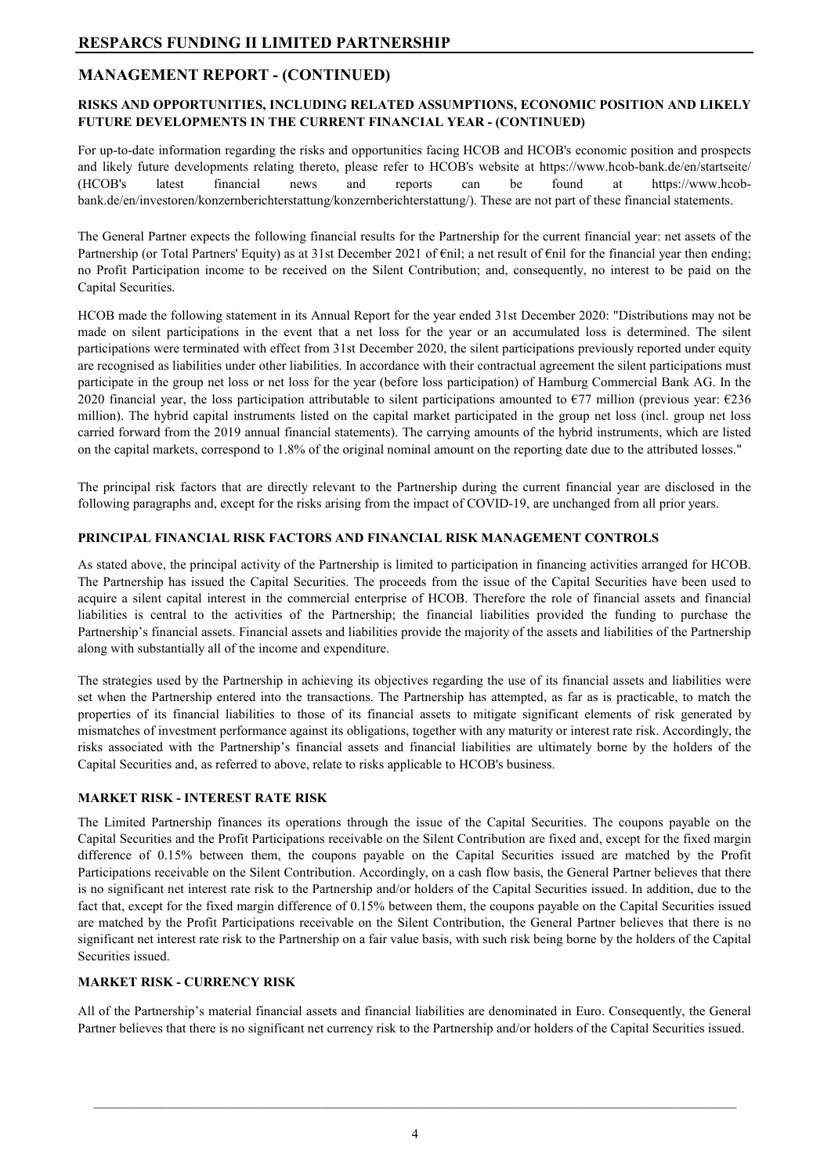#### **RISKS AND OPPORTUNITIES, INCLUDING RELATED ASSUMPTIONS, ECONOMIC POSITION AND LIKELY FUTURE DEVELOPMENTS IN THE CURRENT FINANCIAL YEAR - (CONTINUED)**

For up-to-date information regarding the risks and opportunities facing HCOB and HCOB's economic position and prospects and likely future developments relating thereto, please refer to HCOB's website at https://www.hcob-bank.de/en/startseite/ (HCOB's latest financial news and reports can be found at https://www.hcobbank.de/en/investoren/konzernberichterstattung/konzernberichterstattung/). These are not part of these financial statements.

The General Partner expects the following financial results for the Partnership for the current financial year: net assets of the Partnership (or Total Partners' Equity) as at 31st December 2021 of €nil; a net result of €nil for the financial year then ending; no Profit Participation income to be received on the Silent Contribution; and, consequently, no interest to be paid on the Capital Securities.

HCOB made the following statement in its Annual Report for the year ended 31st December 2020: "Distributions may not be made on silent participations in the event that a net loss for the year or an accumulated loss is determined. The silent participations were terminated with effect from 31st December 2020, the silent participations previously reported under equity are recognised as liabilities under other liabilities. In accordance with their contractual agreement the silent participations must participate in the group net loss or net loss for the year (before loss participation) of Hamburg Commercial Bank AG. In the 2020 financial year, the loss participation attributable to silent participations amounted to  $\epsilon$ 77 million (previous year:  $\epsilon$ 236 million). The hybrid capital instruments listed on the capital market participated in the group net loss (incl. group net loss carried forward from the 2019 annual financial statements). The carrying amounts of the hybrid instruments, which are listed on the capital markets, correspond to 1.8% of the original nominal amount on the reporting date due to the attributed losses."

The principal risk factors that are directly relevant to the Partnership during the current financial year are disclosed in the following paragraphs and, except for the risks arising from the impact of COVID-19, are unchanged from all prior years.

#### **PRINCIPAL FINANCIAL RISK FACTORS AND FINANCIAL RISK MANAGEMENT CONTROLS**

As stated above, the principal activity of the Partnership is limited to participation in financing activities arranged for HCOB. The Partnership has issued the Capital Securities. The proceeds from the issue of the Capital Securities have been used to acquire a silent capital interest in the commercial enterprise of HCOB. Therefore the role of financial assets and financial liabilities is central to the activities of the Partnership; the financial liabilities provided the funding to purchase the Partnership's financial assets. Financial assets and liabilities provide the majority of the assets and liabilities of the Partnership along with substantially all of the income and expenditure.

The strategies used by the Partnership in achieving its objectives regarding the use of its financial assets and liabilities were set when the Partnership entered into the transactions. The Partnership has attempted, as far as is practicable, to match the properties of its financial liabilities to those of its financial assets to mitigate significant elements of risk generated by mismatches of investment performance against its obligations, together with any maturity or interest rate risk. Accordingly, the risks associated with the Partnership's financial assets and financial liabilities are ultimately borne by the holders of the Capital Securities and, as referred to above, relate to risks applicable to HCOB's business.

#### **MARKET RISK - INTEREST RATE RISK**

The Limited Partnership finances its operations through the issue of the Capital Securities. The coupons payable on the Capital Securities and the Profit Participations receivable on the Silent Contribution are fixed and, except for the fixed margin difference of 0.15% between them, the coupons payable on the Capital Securities issued are matched by the Profit Participations receivable on the Silent Contribution. Accordingly, on a cash flow basis, the General Partner believes that there is no significant net interest rate risk to the Partnership and/or holders of the Capital Securities issued. In addition, due to the fact that, except for the fixed margin difference of 0.15% between them, the coupons payable on the Capital Securities issued are matched by the Profit Participations receivable on the Silent Contribution, the General Partner believes that there is no significant net interest rate risk to the Partnership on a fair value basis, with such risk being borne by the holders of the Capital Securities issued.

#### **MARKET RISK - CURRENCY RISK**

All of the Partnership's material financial assets and financial liabilities are denominated in Euro. Consequently, the General Partner believes that there is no significant net currency risk to the Partnership and/or holders of the Capital Securities issued.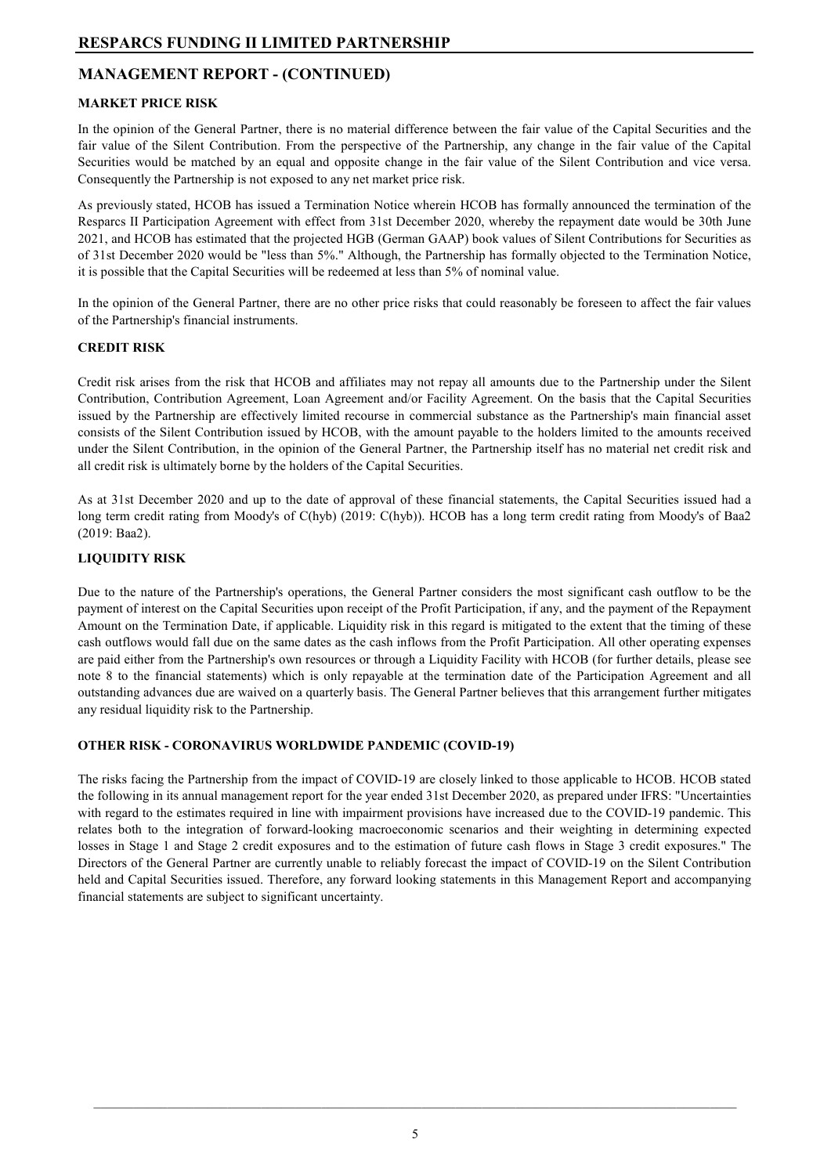#### **MARKET PRICE RISK**

In the opinion of the General Partner, there is no material difference between the fair value of the Capital Securities and the fair value of the Silent Contribution. From the perspective of the Partnership, any change in the fair value of the Capital Securities would be matched by an equal and opposite change in the fair value of the Silent Contribution and vice versa. Consequently the Partnership is not exposed to any net market price risk.

As previously stated, HCOB has issued a Termination Notice wherein HCOB has formally announced the termination of the Resparcs II Participation Agreement with effect from 31st December 2020, whereby the repayment date would be 30th June 2021, and HCOB has estimated that the projected HGB (German GAAP) book values of Silent Contributions for Securities as of 31st December 2020 would be "less than 5%." Although, the Partnership has formally objected to the Termination Notice, it is possible that the Capital Securities will be redeemed at less than 5% of nominal value.

In the opinion of the General Partner, there are no other price risks that could reasonably be foreseen to affect the fair values of the Partnership's financial instruments.

#### **CREDIT RISK**

Credit risk arises from the risk that HCOB and affiliates may not repay all amounts due to the Partnership under the Silent Contribution, Contribution Agreement, Loan Agreement and/or Facility Agreement. On the basis that the Capital Securities issued by the Partnership are effectively limited recourse in commercial substance as the Partnership's main financial asset consists of the Silent Contribution issued by HCOB, with the amount payable to the holders limited to the amounts received under the Silent Contribution, in the opinion of the General Partner, the Partnership itself has no material net credit risk and all credit risk is ultimately borne by the holders of the Capital Securities.

As at 31st December 2020 and up to the date of approval of these financial statements, the Capital Securities issued had a long term credit rating from Moody's of C(hyb) (2019: C(hyb)). HCOB has a long term credit rating from Moody's of Baa2 (2019: Baa2).

#### **LIQUIDITY RISK**

Due to the nature of the Partnership's operations, the General Partner considers the most significant cash outflow to be the payment of interest on the Capital Securities upon receipt of the Profit Participation, if any, and the payment of the Repayment Amount on the Termination Date, if applicable. Liquidity risk in this regard is mitigated to the extent that the timing of these cash outflows would fall due on the same dates as the cash inflows from the Profit Participation. All other operating expenses are paid either from the Partnership's own resources or through a Liquidity Facility with HCOB (for further details, please see note 8 to the financial statements) which is only repayable at the termination date of the Participation Agreement and all outstanding advances due are waived on a quarterly basis. The General Partner believes that this arrangement further mitigates any residual liquidity risk to the Partnership.

#### **OTHER RISK - CORONAVIRUS WORLDWIDE PANDEMIC (COVID-19)**

The risks facing the Partnership from the impact of COVID-19 are closely linked to those applicable to HCOB. HCOB stated the following in its annual management report for the year ended 31st December 2020, as prepared under IFRS: "Uncertainties with regard to the estimates required in line with impairment provisions have increased due to the COVID-19 pandemic. This relates both to the integration of forward-looking macroeconomic scenarios and their weighting in determining expected losses in Stage 1 and Stage 2 credit exposures and to the estimation of future cash flows in Stage 3 credit exposures." The Directors of the General Partner are currently unable to reliably forecast the impact of COVID-19 on the Silent Contribution held and Capital Securities issued. Therefore, any forward looking statements in this Management Report and accompanying financial statements are subject to significant uncertainty.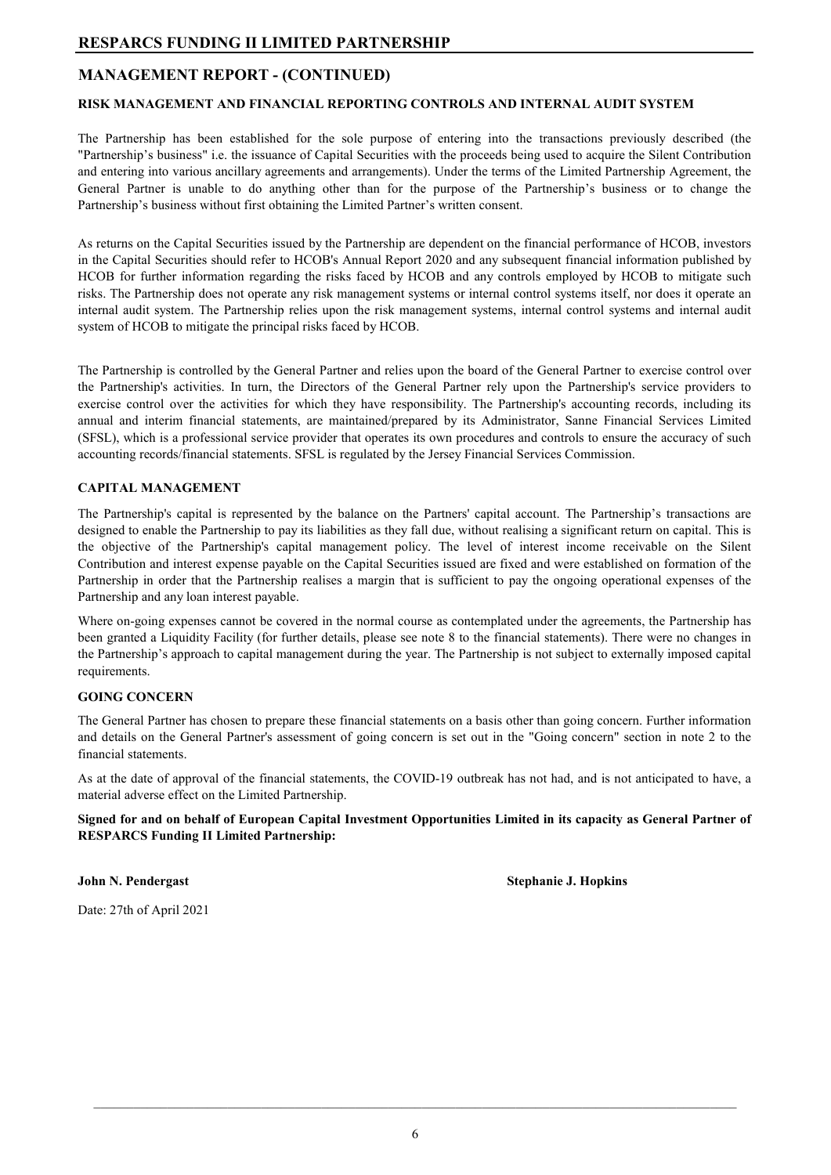#### **RISK MANAGEMENT AND FINANCIAL REPORTING CONTROLS AND INTERNAL AUDIT SYSTEM**

The Partnership has been established for the sole purpose of entering into the transactions previously described (the "Partnership's business" i.e. the issuance of Capital Securities with the proceeds being used to acquire the Silent Contribution and entering into various ancillary agreements and arrangements). Under the terms of the Limited Partnership Agreement, the General Partner is unable to do anything other than for the purpose of the Partnership's business or to change the Partnership's business without first obtaining the Limited Partner's written consent.

As returns on the Capital Securities issued by the Partnership are dependent on the financial performance of HCOB, investors in the Capital Securities should refer to HCOB's Annual Report 2020 and any subsequent financial information published by HCOB for further information regarding the risks faced by HCOB and any controls employed by HCOB to mitigate such risks. The Partnership does not operate any risk management systems or internal control systems itself, nor does it operate an internal audit system. The Partnership relies upon the risk management systems, internal control systems and internal audit system of HCOB to mitigate the principal risks faced by HCOB.

The Partnership is controlled by the General Partner and relies upon the board of the General Partner to exercise control over the Partnership's activities. In turn, the Directors of the General Partner rely upon the Partnership's service providers to exercise control over the activities for which they have responsibility. The Partnership's accounting records, including its annual and interim financial statements, are maintained/prepared by its Administrator, Sanne Financial Services Limited (SFSL), which is a professional service provider that operates its own procedures and controls to ensure the accuracy of such accounting records/financial statements. SFSL is regulated by the Jersey Financial Services Commission.

#### **CAPITAL MANAGEMENT**

The Partnership's capital is represented by the balance on the Partners' capital account. The Partnership's transactions are designed to enable the Partnership to pay its liabilities as they fall due, without realising a significant return on capital. This is the objective of the Partnership's capital management policy. The level of interest income receivable on the Silent Contribution and interest expense payable on the Capital Securities issued are fixed and were established on formation of the Partnership in order that the Partnership realises a margin that is sufficient to pay the ongoing operational expenses of the Partnership and any loan interest payable.

Where on-going expenses cannot be covered in the normal course as contemplated under the agreements, the Partnership has been granted a Liquidity Facility (for further details, please see note 8 to the financial statements). There were no changes in the Partnership's approach to capital management during the year. The Partnership is not subject to externally imposed capital requirements.

#### **GOING CONCERN**

The General Partner has chosen to prepare these financial statements on a basis other than going concern. Further information and details on the General Partner's assessment of going concern is set out in the "Going concern" section in note 2 to the financial statements.

As at the date of approval of the financial statements, the COVID-19 outbreak has not had, and is not anticipated to have, a material adverse effect on the Limited Partnership.

Signed for and on behalf of European Capital Investment Opportunities Limited in its capacity as General Partner of **RESPARCS Funding II Limited Partnership:**

**John N. Pendergast Stephanie J. Hopkins** 

Date: 27th of April 2021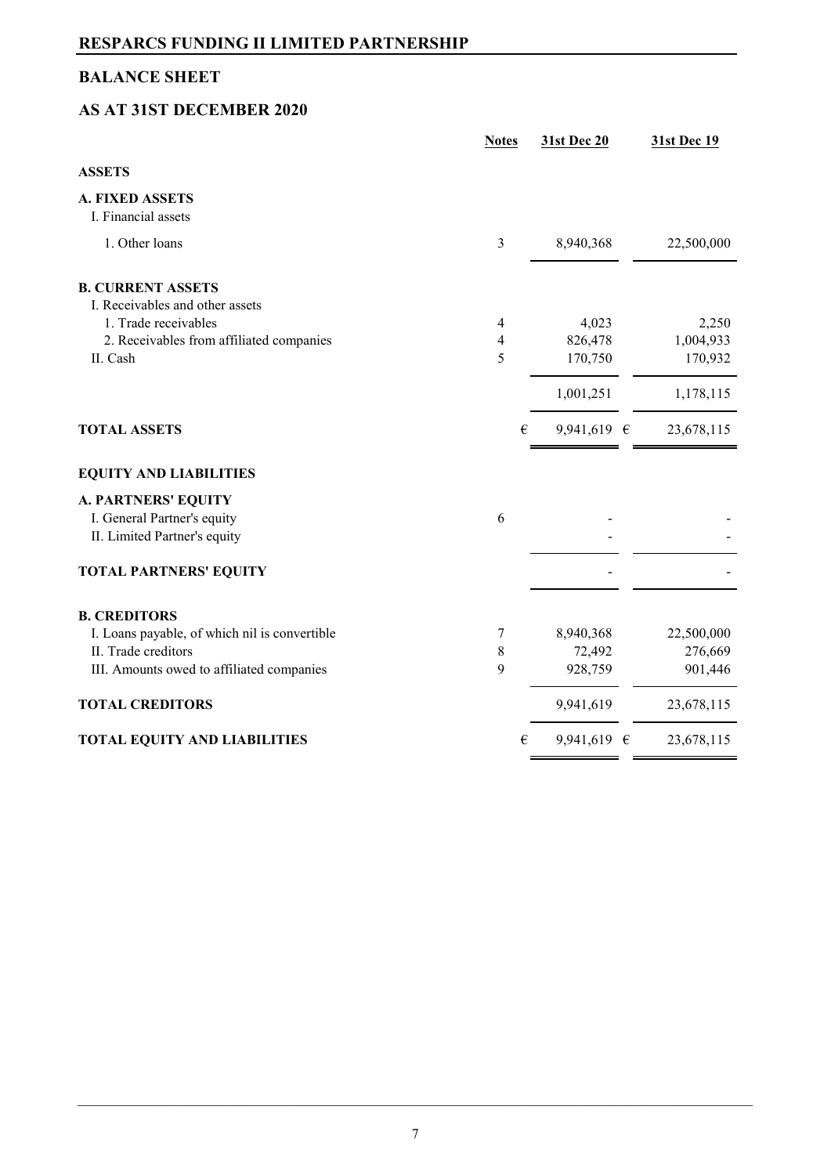## **BALANCE SHEET**

# **AS AT 31ST DECEMBER 2020**

|                                               | <b>Notes</b>   |   | 31st Dec 20     | <b>31st Dec 19</b> |
|-----------------------------------------------|----------------|---|-----------------|--------------------|
| <b>ASSETS</b>                                 |                |   |                 |                    |
| <b>A. FIXED ASSETS</b><br>I. Financial assets |                |   |                 |                    |
| 1. Other loans                                | 3              |   | 8,940,368       | 22,500,000         |
| <b>B. CURRENT ASSETS</b>                      |                |   |                 |                    |
| I. Receivables and other assets               |                |   |                 |                    |
| 1. Trade receivables                          | 4              |   | 4,023           | 2,250              |
| 2. Receivables from affiliated companies      | $\overline{4}$ |   | 826,478         | 1,004,933          |
| II. Cash                                      | 5              |   | 170,750         | 170,932            |
|                                               |                |   | 1,001,251       | 1,178,115          |
| <b>TOTAL ASSETS</b>                           |                | € | 9,941,619 $\in$ | 23,678,115         |
| <b>EQUITY AND LIABILITIES</b>                 |                |   |                 |                    |
| <b>A. PARTNERS' EQUITY</b>                    |                |   |                 |                    |
| I. General Partner's equity                   | 6              |   |                 |                    |
| II. Limited Partner's equity                  |                |   |                 |                    |
| <b>TOTAL PARTNERS' EQUITY</b>                 |                |   |                 |                    |
| <b>B. CREDITORS</b>                           |                |   |                 |                    |
| I. Loans payable, of which nil is convertible | 7              |   | 8,940,368       | 22,500,000         |
| II. Trade creditors                           | 8              |   | 72,492          | 276,669            |
| III. Amounts owed to affiliated companies     | 9              |   | 928,759         | 901,446            |
| <b>TOTAL CREDITORS</b>                        |                |   | 9,941,619       | 23,678,115         |
| <b>TOTAL EQUITY AND LIABILITIES</b>           |                | € | 9,941,619 $\in$ | 23,678,115         |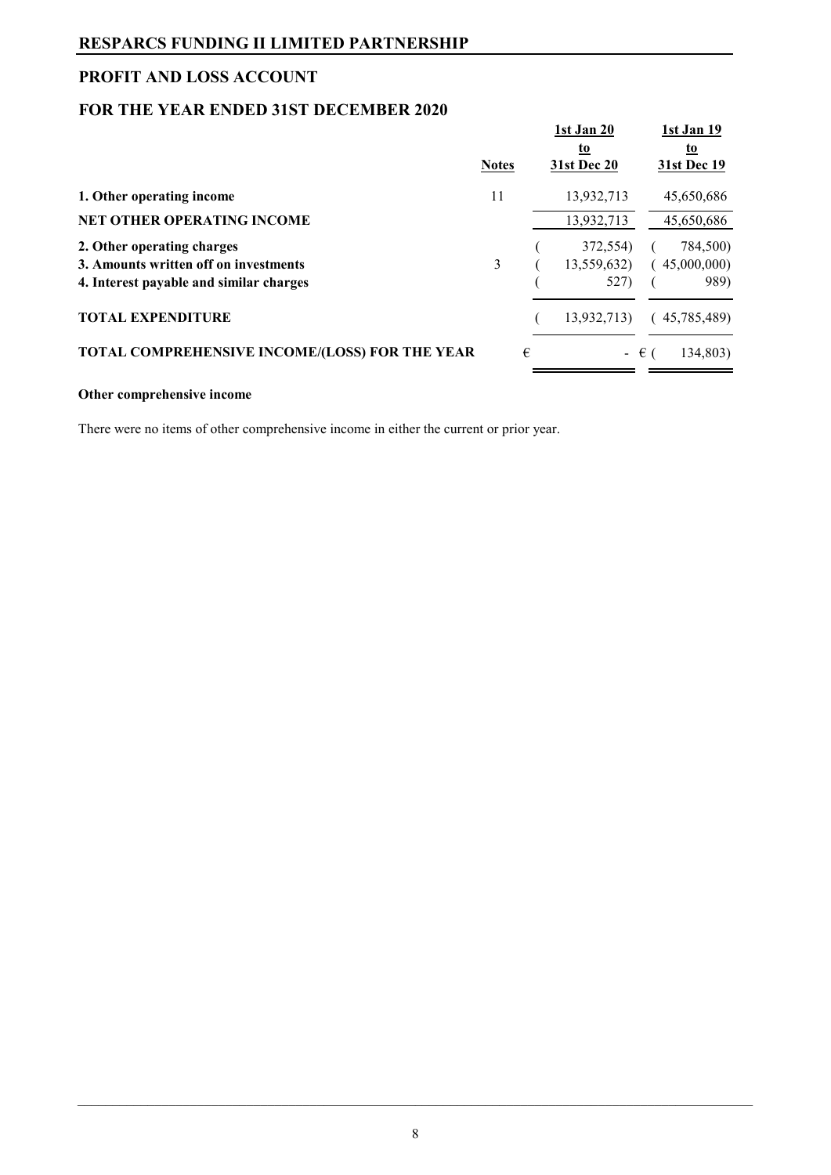## **PROFIT AND LOSS ACCOUNT**

## **FOR THE YEAR ENDED 31ST DECEMBER 2020**

|                                                       | <b>Notes</b> |   | 1st Jan 20<br>to<br>31st Dec 20 |               | 1st Jan 19<br><u>to</u><br>31st Dec 19 |
|-------------------------------------------------------|--------------|---|---------------------------------|---------------|----------------------------------------|
| 1. Other operating income                             | 11           |   | 13,932,713                      |               | 45,650,686                             |
| <b>NET OTHER OPERATING INCOME</b>                     |              |   | 13,932,713                      |               | 45,650,686                             |
| 2. Other operating charges                            |              |   | 372,554)                        |               | 784,500)                               |
| 3. Amounts written off on investments                 | 3            |   | 13,559,632)                     |               | 45,000,000)                            |
| 4. Interest payable and similar charges               |              |   | 527)                            |               | 989)                                   |
| <b>TOTAL EXPENDITURE</b>                              |              |   | 13,932,713)                     |               | (45,785,489)                           |
| <b>TOTAL COMPREHENSIVE INCOME/(LOSS) FOR THE YEAR</b> |              | € |                                 | $ \epsilon$ ( | 134,803)                               |

#### **Other comprehensive income**

There were no items of other comprehensive income in either the current or prior year.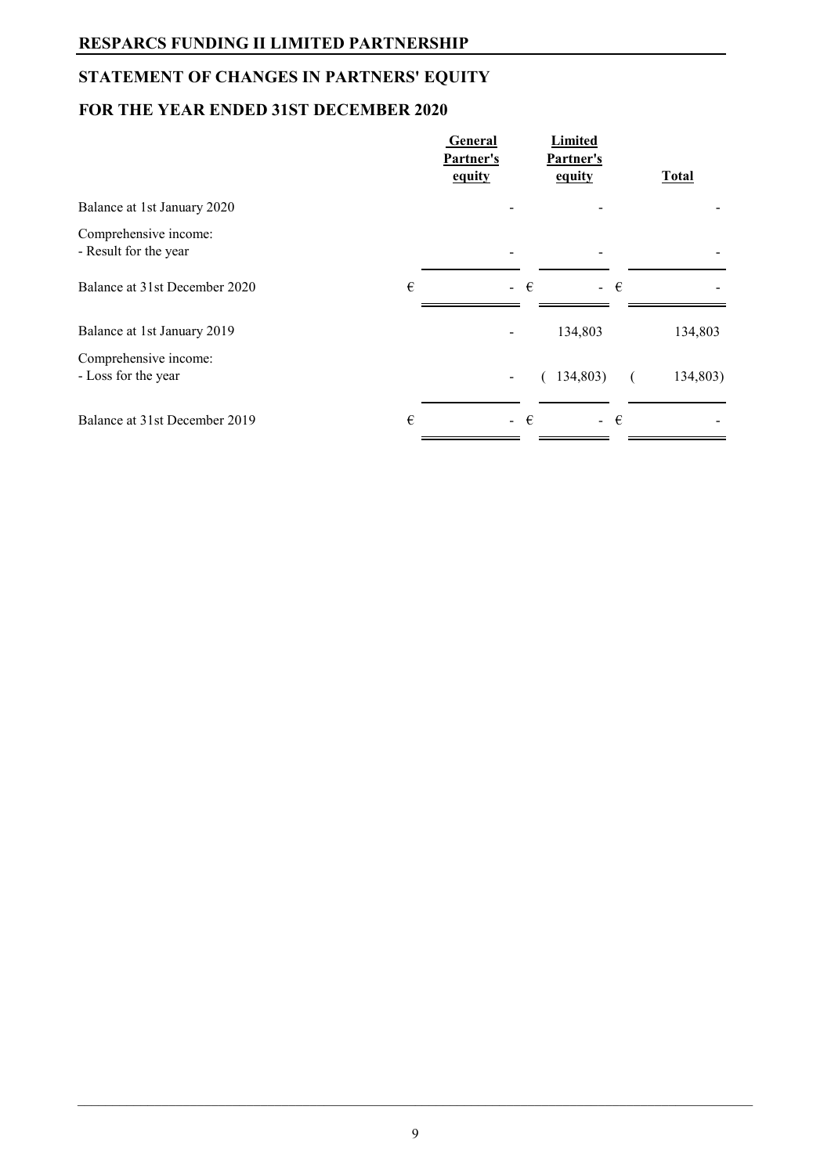# **STATEMENT OF CHANGES IN PARTNERS' EQUITY**

# **FOR THE YEAR ENDED 31ST DECEMBER 2020**

|                                                | General<br>Partner's<br>equity | Limited<br>Partner's<br>equity | <b>Total</b> |
|------------------------------------------------|--------------------------------|--------------------------------|--------------|
| Balance at 1st January 2020                    |                                |                                |              |
| Comprehensive income:<br>- Result for the year |                                |                                |              |
| €<br>Balance at 31st December 2020             |                                | - €<br>- €                     |              |
| Balance at 1st January 2019                    |                                | 134,803                        | 134,803      |
| Comprehensive income:<br>- Loss for the year   |                                | (134,803)                      | 134,803)     |
| Balance at 31st December 2019<br>€             |                                | - €<br>- €                     |              |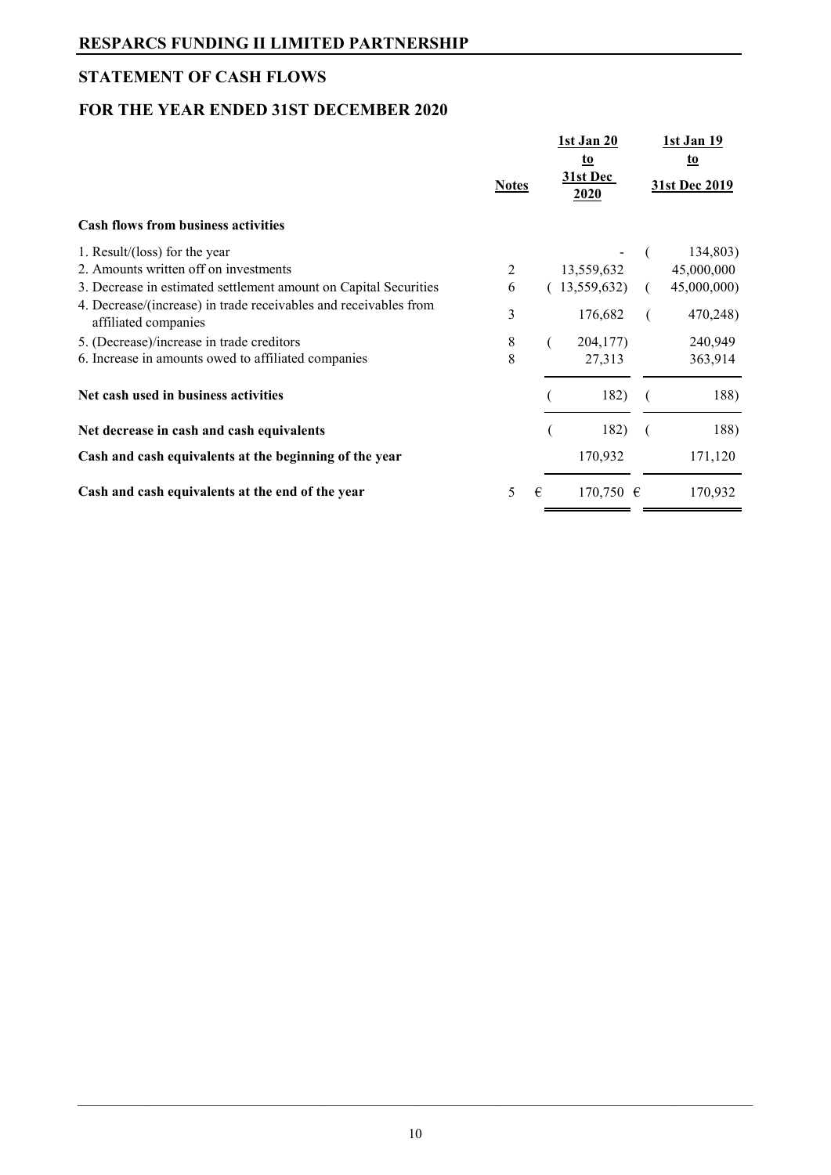# **STATEMENT OF CASH FLOWS**

# **FOR THE YEAR ENDED 31ST DECEMBER 2020**

|                                                                                          | <b>Notes</b> |   | 1st Jan 20<br><u>to</u><br>31st Dec<br>2020 | 1st Jan 19<br>to<br>31st Dec 2019 |
|------------------------------------------------------------------------------------------|--------------|---|---------------------------------------------|-----------------------------------|
| <b>Cash flows from business activities</b>                                               |              |   |                                             |                                   |
| 1. Result/(loss) for the year                                                            |              |   |                                             | 134,803)                          |
| 2. Amounts written off on investments                                                    | 2            |   | 13,559,632                                  | 45,000,000                        |
| 3. Decrease in estimated settlement amount on Capital Securities                         | 6            |   | 13,559,632)                                 | 45,000,000)                       |
| 4. Decrease/(increase) in trade receivables and receivables from<br>affiliated companies | 3            |   | 176,682                                     | 470,248)                          |
| 5. (Decrease)/increase in trade creditors                                                | 8            |   | 204,177)                                    | 240,949                           |
| 6. Increase in amounts owed to affiliated companies                                      | 8            |   | 27,313                                      | 363,914                           |
| Net cash used in business activities                                                     |              |   | 182)                                        | 188)                              |
| Net decrease in cash and cash equivalents                                                |              |   | 182)                                        | 188)                              |
| Cash and cash equivalents at the beginning of the year                                   |              |   | 170,932                                     | 171,120                           |
| Cash and cash equivalents at the end of the year                                         | 5            | € | 170,750 $\in$                               | 170,932                           |
|                                                                                          |              |   |                                             |                                   |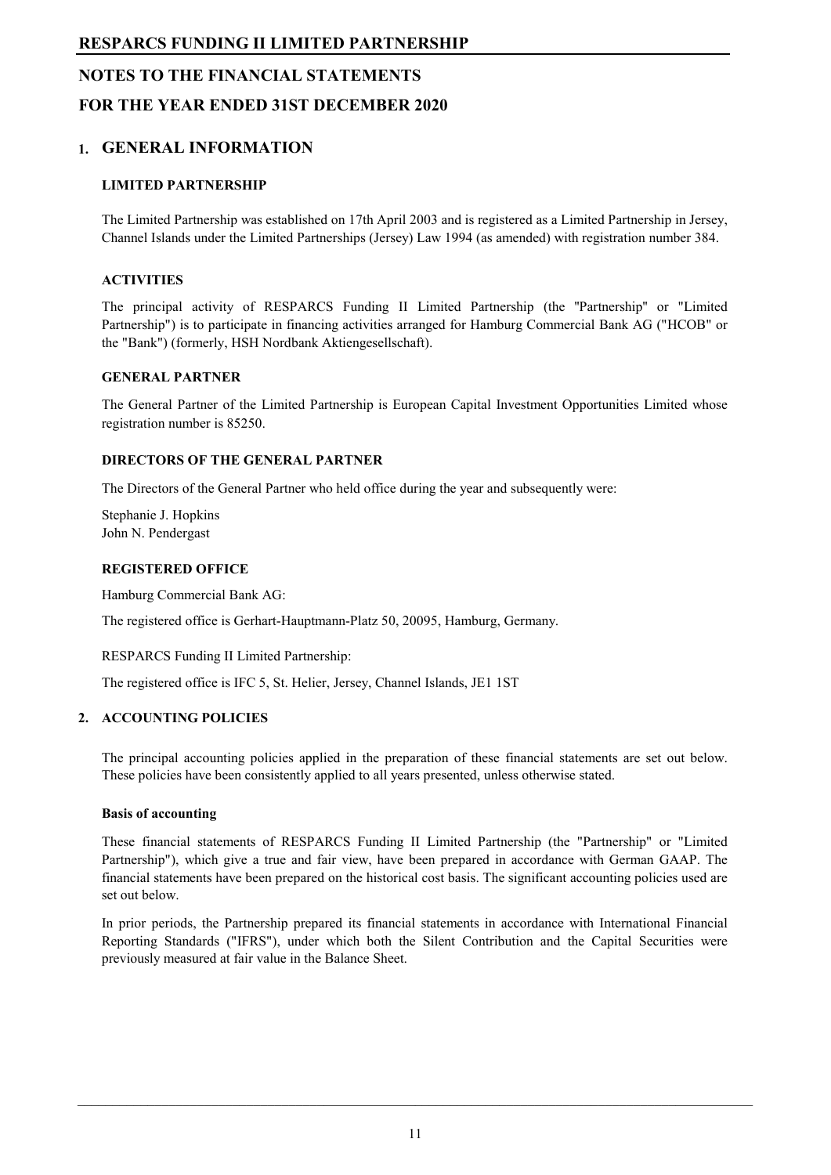# **NOTES TO THE FINANCIAL STATEMENTS FOR THE YEAR ENDED 31ST DECEMBER 2020**

## **1. GENERAL INFORMATION**

#### **LIMITED PARTNERSHIP**

The Limited Partnership was established on 17th April 2003 and is registered as a Limited Partnership in Jersey, Channel Islands under the Limited Partnerships (Jersey) Law 1994 (as amended) with registration number 384.

#### **ACTIVITIES**

The principal activity of RESPARCS Funding II Limited Partnership (the ''Partnership'' or "Limited Partnership") is to participate in financing activities arranged for Hamburg Commercial Bank AG ("HCOB" or the "Bank") (formerly, HSH Nordbank Aktiengesellschaft).

#### **GENERAL PARTNER**

The General Partner of the Limited Partnership is European Capital Investment Opportunities Limited whose registration number is 85250.

#### **DIRECTORS OF THE GENERAL PARTNER**

The Directors of the General Partner who held office during the year and subsequently were:

Stephanie J. Hopkins John N. Pendergast

#### **REGISTERED OFFICE**

Hamburg Commercial Bank AG:

The registered office is Gerhart-Hauptmann-Platz 50, 20095, Hamburg, Germany.

RESPARCS Funding II Limited Partnership:

The registered office is IFC 5, St. Helier, Jersey, Channel Islands, JE1 1ST

#### **2. ACCOUNTING POLICIES**

The principal accounting policies applied in the preparation of these financial statements are set out below. These policies have been consistently applied to all years presented, unless otherwise stated.

#### **Basis of accounting**

These financial statements of RESPARCS Funding II Limited Partnership (the "Partnership" or "Limited Partnership"), which give a true and fair view, have been prepared in accordance with German GAAP. The financial statements have been prepared on the historical cost basis. The significant accounting policies used are set out below.

In prior periods, the Partnership prepared its financial statements in accordance with International Financial Reporting Standards ("IFRS"), under which both the Silent Contribution and the Capital Securities were previously measured at fair value in the Balance Sheet.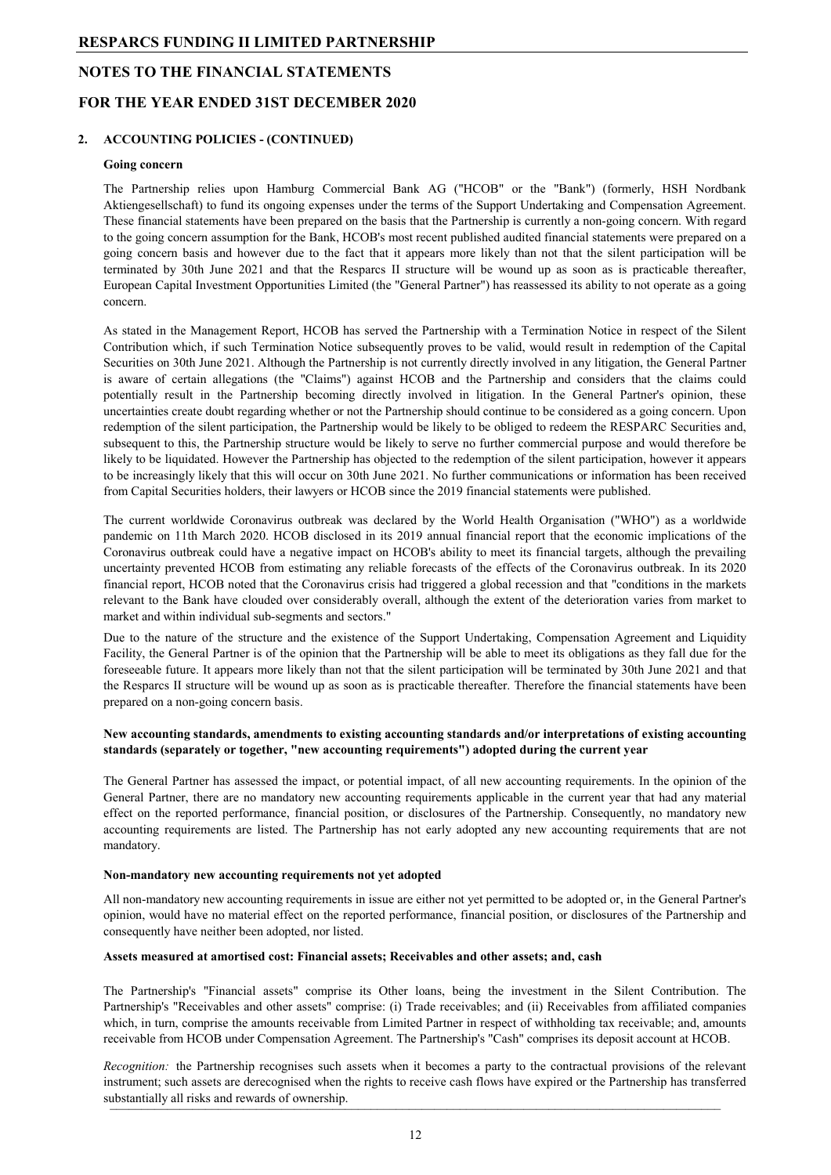#### **NOTES TO THE FINANCIAL STATEMENTS**

#### **FOR THE YEAR ENDED 31ST DECEMBER 2020**

#### **2. ACCOUNTING POLICIES - (CONTINUED)**

#### **Going concern**

The Partnership relies upon Hamburg Commercial Bank AG ("HCOB" or the "Bank") (formerly, HSH Nordbank Aktiengesellschaft) to fund its ongoing expenses under the terms of the Support Undertaking and Compensation Agreement. These financial statements have been prepared on the basis that the Partnership is currently a non-going concern. With regard to the going concern assumption for the Bank, HCOB's most recent published audited financial statements were prepared on a going concern basis and however due to the fact that it appears more likely than not that the silent participation will be terminated by 30th June 2021 and that the Resparcs II structure will be wound up as soon as is practicable thereafter, European Capital Investment Opportunities Limited (the "General Partner") has reassessed its ability to not operate as a going concern.

As stated in the Management Report, HCOB has served the Partnership with a Termination Notice in respect of the Silent Contribution which, if such Termination Notice subsequently proves to be valid, would result in redemption of the Capital Securities on 30th June 2021. Although the Partnership is not currently directly involved in any litigation, the General Partner is aware of certain allegations (the "Claims") against HCOB and the Partnership and considers that the claims could potentially result in the Partnership becoming directly involved in litigation. In the General Partner's opinion, these uncertainties create doubt regarding whether or not the Partnership should continue to be considered as a going concern. Upon redemption of the silent participation, the Partnership would be likely to be obliged to redeem the RESPARC Securities and, subsequent to this, the Partnership structure would be likely to serve no further commercial purpose and would therefore be likely to be liquidated. However the Partnership has objected to the redemption of the silent participation, however it appears to be increasingly likely that this will occur on 30th June 2021. No further communications or information has been received from Capital Securities holders, their lawyers or HCOB since the 2019 financial statements were published.

The current worldwide Coronavirus outbreak was declared by the World Health Organisation ("WHO") as a worldwide pandemic on 11th March 2020. HCOB disclosed in its 2019 annual financial report that the economic implications of the Coronavirus outbreak could have a negative impact on HCOB's ability to meet its financial targets, although the prevailing uncertainty prevented HCOB from estimating any reliable forecasts of the effects of the Coronavirus outbreak. In its 2020 financial report, HCOB noted that the Coronavirus crisis had triggered a global recession and that "conditions in the markets relevant to the Bank have clouded over considerably overall, although the extent of the deterioration varies from market to market and within individual sub-segments and sectors."

Due to the nature of the structure and the existence of the Support Undertaking, Compensation Agreement and Liquidity Facility, the General Partner is of the opinion that the Partnership will be able to meet its obligations as they fall due for the foreseeable future. It appears more likely than not that the silent participation will be terminated by 30th June 2021 and that the Resparcs II structure will be wound up as soon as is practicable thereafter. Therefore the financial statements have been prepared on a non-going concern basis.

#### **New accounting standards, amendments to existing accounting standards and/or interpretations of existing accounting standards (separately or together, "new accounting requirements") adopted during the current year**

The General Partner has assessed the impact, or potential impact, of all new accounting requirements. In the opinion of the General Partner, there are no mandatory new accounting requirements applicable in the current year that had any material effect on the reported performance, financial position, or disclosures of the Partnership. Consequently, no mandatory new accounting requirements are listed. The Partnership has not early adopted any new accounting requirements that are not mandatory.

#### **Non-mandatory new accounting requirements not yet adopted**

All non-mandatory new accounting requirements in issue are either not yet permitted to be adopted or, in the General Partner's opinion, would have no material effect on the reported performance, financial position, or disclosures of the Partnership and consequently have neither been adopted, nor listed.

#### **Assets measured at amortised cost: Financial assets; Receivables and other assets; and, cash**

The Partnership's "Financial assets" comprise its Other loans, being the investment in the Silent Contribution. The Partnership's "Receivables and other assets" comprise: (i) Trade receivables; and (ii) Receivables from affiliated companies which, in turn, comprise the amounts receivable from Limited Partner in respect of withholding tax receivable; and, amounts receivable from HCOB under Compensation Agreement. The Partnership's "Cash" comprises its deposit account at HCOB.

*Recognition:* the Partnership recognises such assets when it becomes a party to the contractual provisions of the relevant instrument; such assets are derecognised when the rights to receive cash flows have expired or the Partnership has transferred substantially all risks and rewards of ownership.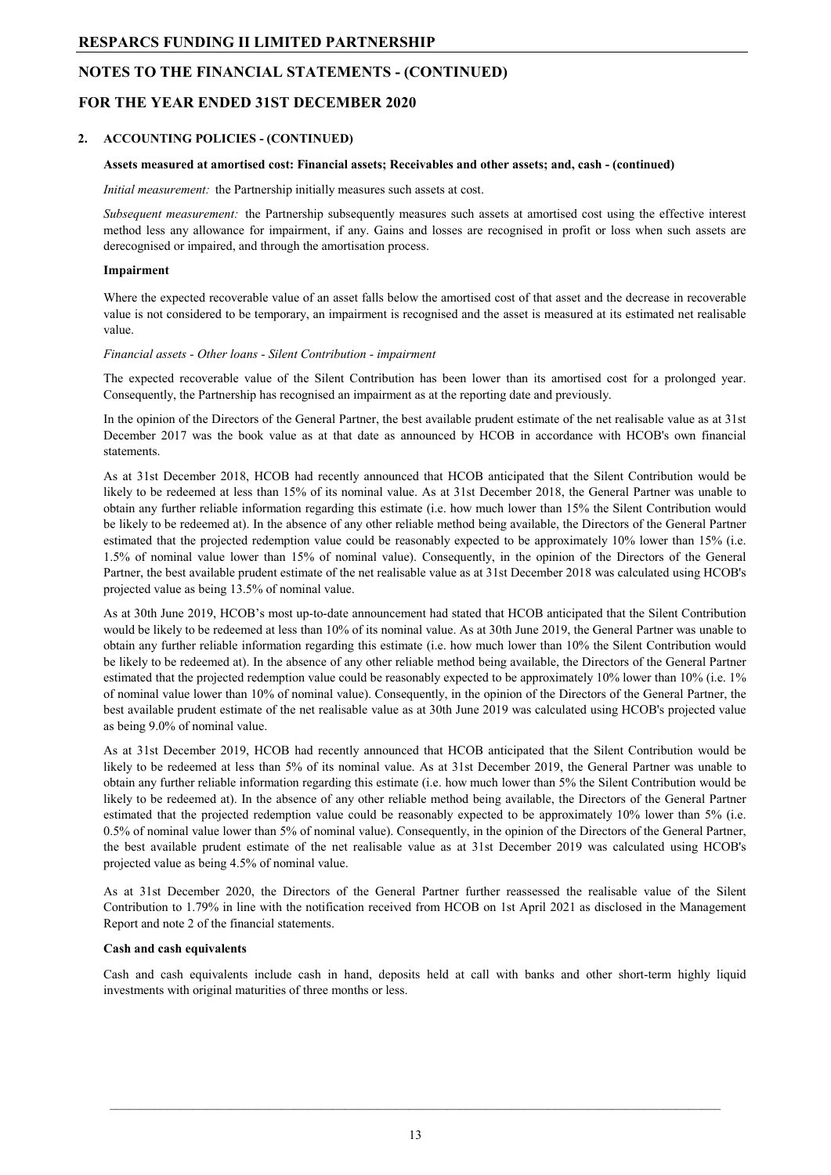## **NOTES TO THE FINANCIAL STATEMENTS - (CONTINUED)**

#### **FOR THE YEAR ENDED 31ST DECEMBER 2020**

#### **2. ACCOUNTING POLICIES - (CONTINUED)**

#### **Assets measured at amortised cost: Financial assets; Receivables and other assets; and, cash - (continued)**

*Initial measurement:* the Partnership initially measures such assets at cost.

*Subsequent measurement:* the Partnership subsequently measures such assets at amortised cost using the effective interest method less any allowance for impairment, if any. Gains and losses are recognised in profit or loss when such assets are derecognised or impaired, and through the amortisation process.

#### **Impairment**

Where the expected recoverable value of an asset falls below the amortised cost of that asset and the decrease in recoverable value is not considered to be temporary, an impairment is recognised and the asset is measured at its estimated net realisable value.

#### *Financial assets - Other loans - Silent Contribution - impairment*

The expected recoverable value of the Silent Contribution has been lower than its amortised cost for a prolonged year. Consequently, the Partnership has recognised an impairment as at the reporting date and previously.

In the opinion of the Directors of the General Partner, the best available prudent estimate of the net realisable value as at 31st December 2017 was the book value as at that date as announced by HCOB in accordance with HCOB's own financial statements.

As at 31st December 2018, HCOB had recently announced that HCOB anticipated that the Silent Contribution would be likely to be redeemed at less than 15% of its nominal value. As at 31st December 2018, the General Partner was unable to obtain any further reliable information regarding this estimate (i.e. how much lower than 15% the Silent Contribution would be likely to be redeemed at). In the absence of any other reliable method being available, the Directors of the General Partner estimated that the projected redemption value could be reasonably expected to be approximately 10% lower than 15% (i.e. 1.5% of nominal value lower than 15% of nominal value). Consequently, in the opinion of the Directors of the General Partner, the best available prudent estimate of the net realisable value as at 31st December 2018 was calculated using HCOB's projected value as being 13.5% of nominal value.

As at 30th June 2019, HCOB's most up-to-date announcement had stated that HCOB anticipated that the Silent Contribution would be likely to be redeemed at less than 10% of its nominal value. As at 30th June 2019, the General Partner was unable to obtain any further reliable information regarding this estimate (i.e. how much lower than 10% the Silent Contribution would be likely to be redeemed at). In the absence of any other reliable method being available, the Directors of the General Partner estimated that the projected redemption value could be reasonably expected to be approximately 10% lower than 10% (i.e. 1% of nominal value lower than 10% of nominal value). Consequently, in the opinion of the Directors of the General Partner, the best available prudent estimate of the net realisable value as at 30th June 2019 was calculated using HCOB's projected value as being 9.0% of nominal value.

As at 31st December 2019, HCOB had recently announced that HCOB anticipated that the Silent Contribution would be likely to be redeemed at less than 5% of its nominal value. As at 31st December 2019, the General Partner was unable to obtain any further reliable information regarding this estimate (i.e. how much lower than 5% the Silent Contribution would be likely to be redeemed at). In the absence of any other reliable method being available, the Directors of the General Partner estimated that the projected redemption value could be reasonably expected to be approximately 10% lower than 5% (i.e. 0.5% of nominal value lower than 5% of nominal value). Consequently, in the opinion of the Directors of the General Partner, the best available prudent estimate of the net realisable value as at 31st December 2019 was calculated using HCOB's projected value as being 4.5% of nominal value.

As at 31st December 2020, the Directors of the General Partner further reassessed the realisable value of the Silent Contribution to 1.79% in line with the notification received from HCOB on 1st April 2021 as disclosed in the Management Report and note 2 of the financial statements.

#### **Cash and cash equivalents**

Cash and cash equivalents include cash in hand, deposits held at call with banks and other short-term highly liquid investments with original maturities of three months or less.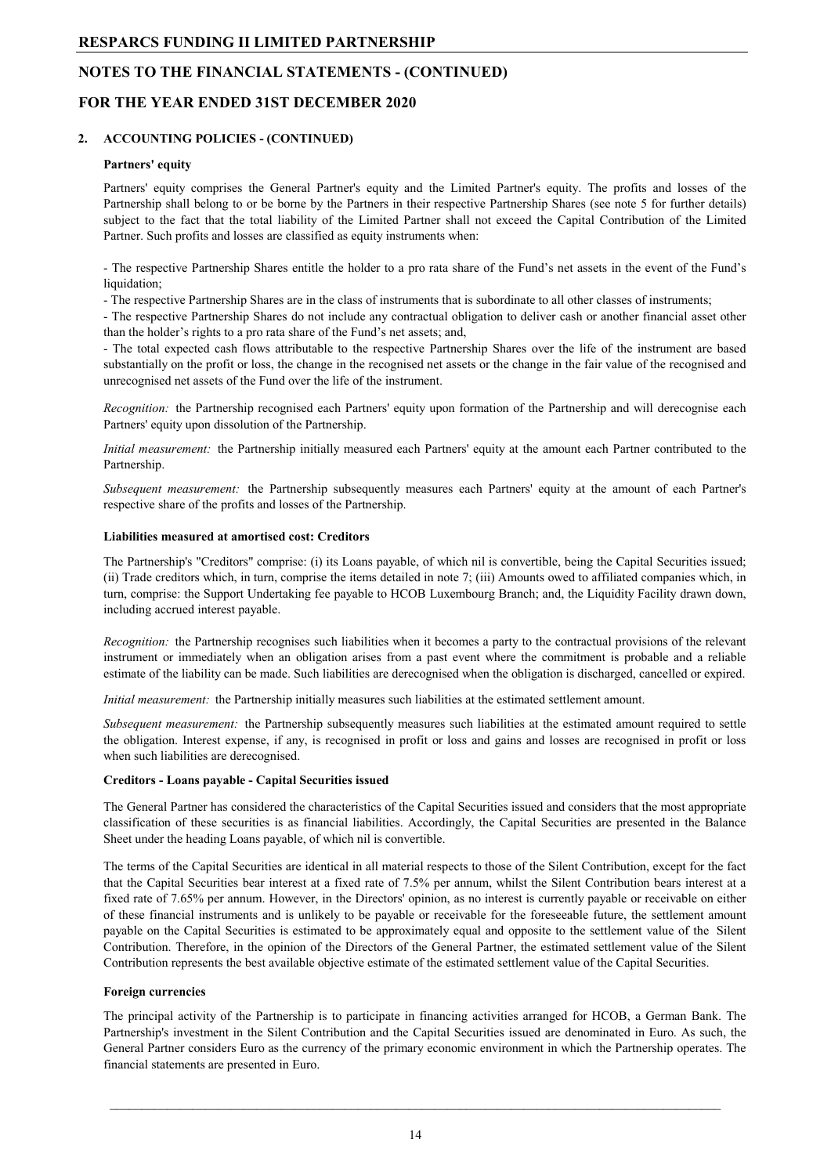## **NOTES TO THE FINANCIAL STATEMENTS - (CONTINUED)**

#### **FOR THE YEAR ENDED 31ST DECEMBER 2020**

## **2. ACCOUNTING POLICIES - (CONTINUED)**

#### **Partners' equity**

Partners' equity comprises the General Partner's equity and the Limited Partner's equity. The profits and losses of the Partnership shall belong to or be borne by the Partners in their respective Partnership Shares (see note 5 for further details) subject to the fact that the total liability of the Limited Partner shall not exceed the Capital Contribution of the Limited Partner. Such profits and losses are classified as equity instruments when:

- The respective Partnership Shares entitle the holder to a pro rata share of the Fund's net assets in the event of the Fund's liquidation;

- The respective Partnership Shares are in the class of instruments that is subordinate to all other classes of instruments;

- The respective Partnership Shares do not include any contractual obligation to deliver cash or another financial asset other than the holder's rights to a pro rata share of the Fund's net assets; and,

- The total expected cash flows attributable to the respective Partnership Shares over the life of the instrument are based substantially on the profit or loss, the change in the recognised net assets or the change in the fair value of the recognised and unrecognised net assets of the Fund over the life of the instrument.

*Recognition:* the Partnership recognised each Partners' equity upon formation of the Partnership and will derecognise each Partners' equity upon dissolution of the Partnership.

*Initial measurement:* the Partnership initially measured each Partners' equity at the amount each Partner contributed to the Partnership.

*Subsequent measurement:* the Partnership subsequently measures each Partners' equity at the amount of each Partner's respective share of the profits and losses of the Partnership.

#### **Liabilities measured at amortised cost: Creditors**

The Partnership's "Creditors" comprise: (i) its Loans payable, of which nil is convertible, being the Capital Securities issued; (ii) Trade creditors which, in turn, comprise the items detailed in note 7; (iii) Amounts owed to affiliated companies which, in turn, comprise: the Support Undertaking fee payable to HCOB Luxembourg Branch; and, the Liquidity Facility drawn down, including accrued interest payable.

*Recognition:* the Partnership recognises such liabilities when it becomes a party to the contractual provisions of the relevant instrument or immediately when an obligation arises from a past event where the commitment is probable and a reliable estimate of the liability can be made. Such liabilities are derecognised when the obligation is discharged, cancelled or expired.

*Initial measurement:* the Partnership initially measures such liabilities at the estimated settlement amount.

*Subsequent measurement:* the Partnership subsequently measures such liabilities at the estimated amount required to settle the obligation. Interest expense, if any, is recognised in profit or loss and gains and losses are recognised in profit or loss when such liabilities are derecognised.

#### **Creditors - Loans payable - Capital Securities issued**

The General Partner has considered the characteristics of the Capital Securities issued and considers that the most appropriate classification of these securities is as financial liabilities. Accordingly, the Capital Securities are presented in the Balance Sheet under the heading Loans payable, of which nil is convertible.

The terms of the Capital Securities are identical in all material respects to those of the Silent Contribution, except for the fact that the Capital Securities bear interest at a fixed rate of 7.5% per annum, whilst the Silent Contribution bears interest at a fixed rate of 7.65% per annum. However, in the Directors' opinion, as no interest is currently payable or receivable on either of these financial instruments and is unlikely to be payable or receivable for the foreseeable future, the settlement amount payable on the Capital Securities is estimated to be approximately equal and opposite to the settlement value of the Silent Contribution. Therefore, in the opinion of the Directors of the General Partner, the estimated settlement value of the Silent Contribution represents the best available objective estimate of the estimated settlement value of the Capital Securities.

#### **Foreign currencies**

The principal activity of the Partnership is to participate in financing activities arranged for HCOB, a German Bank. The Partnership's investment in the Silent Contribution and the Capital Securities issued are denominated in Euro. As such, the General Partner considers Euro as the currency of the primary economic environment in which the Partnership operates. The financial statements are presented in Euro.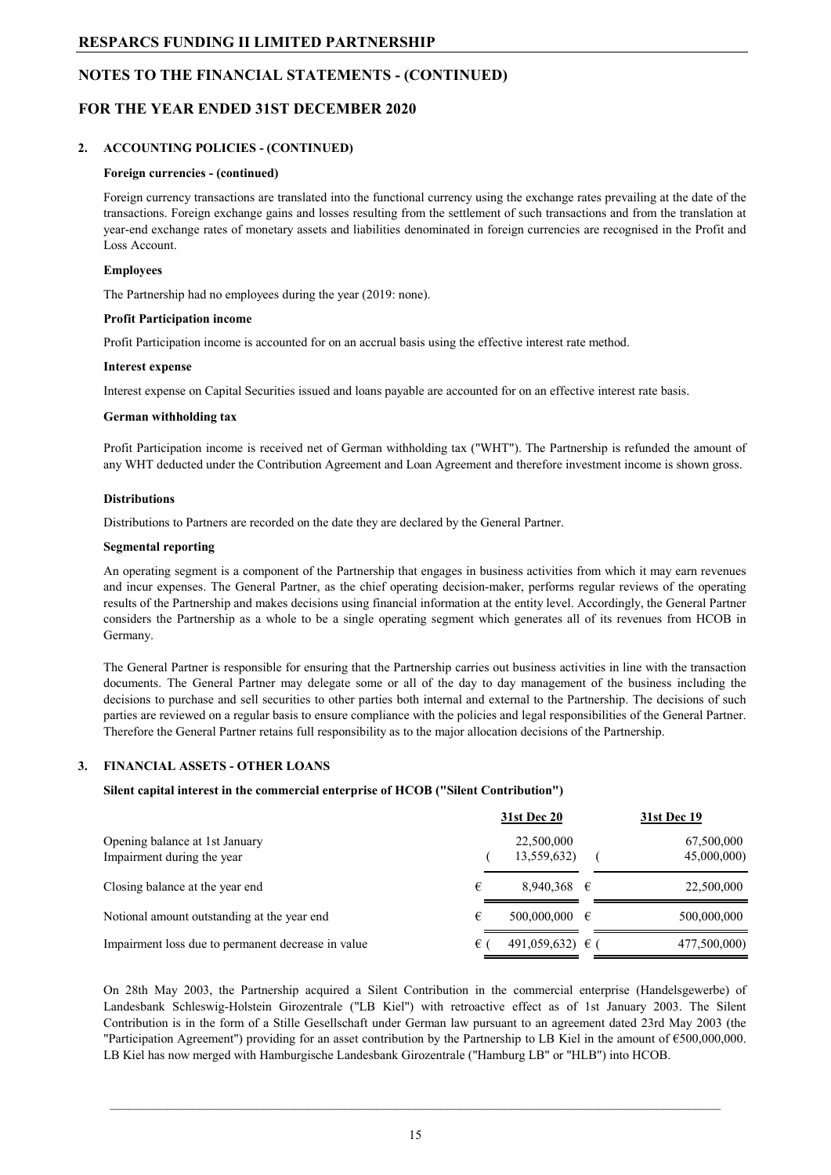#### **NOTES TO THE FINANCIAL STATEMENTS - (CONTINUED)**

#### **FOR THE YEAR ENDED 31ST DECEMBER 2020**

#### **2. ACCOUNTING POLICIES - (CONTINUED)**

#### **Foreign currencies - (continued)**

Foreign currency transactions are translated into the functional currency using the exchange rates prevailing at the date of the transactions. Foreign exchange gains and losses resulting from the settlement of such transactions and from the translation at year-end exchange rates of monetary assets and liabilities denominated in foreign currencies are recognised in the Profit and Loss Account.

#### **Employees**

The Partnership had no employees during the year (2019: none).

#### **Profit Participation income**

Profit Participation income is accounted for on an accrual basis using the effective interest rate method.

#### **Interest expense**

Interest expense on Capital Securities issued and loans payable are accounted for on an effective interest rate basis.

#### **German withholding tax**

Profit Participation income is received net of German withholding tax ("WHT"). The Partnership is refunded the amount of any WHT deducted under the Contribution Agreement and Loan Agreement and therefore investment income is shown gross.

#### **Distributions**

Distributions to Partners are recorded on the date they are declared by the General Partner.

#### **Segmental reporting**

An operating segment is a component of the Partnership that engages in business activities from which it may earn revenues and incur expenses. The General Partner, as the chief operating decision-maker, performs regular reviews of the operating results of the Partnership and makes decisions using financial information at the entity level. Accordingly, the General Partner considers the Partnership as a whole to be a single operating segment which generates all of its revenues from HCOB in Germany.

The General Partner is responsible for ensuring that the Partnership carries out business activities in line with the transaction documents. The General Partner may delegate some or all of the day to day management of the business including the decisions to purchase and sell securities to other parties both internal and external to the Partnership. The decisions of such parties are reviewed on a regular basis to ensure compliance with the policies and legal responsibilities of the General Partner. Therefore the General Partner retains full responsibility as to the major allocation decisions of the Partnership.

#### **3. FINANCIAL ASSETS - OTHER LOANS**

#### **Silent capital interest in the commercial enterprise of HCOB ("Silent Contribution")**

|                                                              |   | <b>31st Dec 20</b>        | <b>31st Dec 19</b>        |
|--------------------------------------------------------------|---|---------------------------|---------------------------|
| Opening balance at 1st January<br>Impairment during the year |   | 22,500,000<br>13,559,632) | 67,500,000<br>45,000,000) |
| Closing balance at the year end                              | € | 8,940,368 $\in$           | 22,500,000                |
| Notional amount outstanding at the year end                  | € | $500,000,000 \in$         | 500,000,000               |
| Impairment loss due to permanent decrease in value           | € | $491,059,632$ €           | 477,500,000)              |

On 28th May 2003, the Partnership acquired a Silent Contribution in the commercial enterprise (Handelsgewerbe) of Landesbank Schleswig-Holstein Girozentrale ("LB Kiel") with retroactive effect as of 1st January 2003. The Silent Contribution is in the form of a Stille Gesellschaft under German law pursuant to an agreement dated 23rd May 2003 (the "Participation Agreement") providing for an asset contribution by the Partnership to LB Kiel in the amount of €500,000,000. LB Kiel has now merged with Hamburgische Landesbank Girozentrale ("Hamburg LB" or "HLB") into HCOB.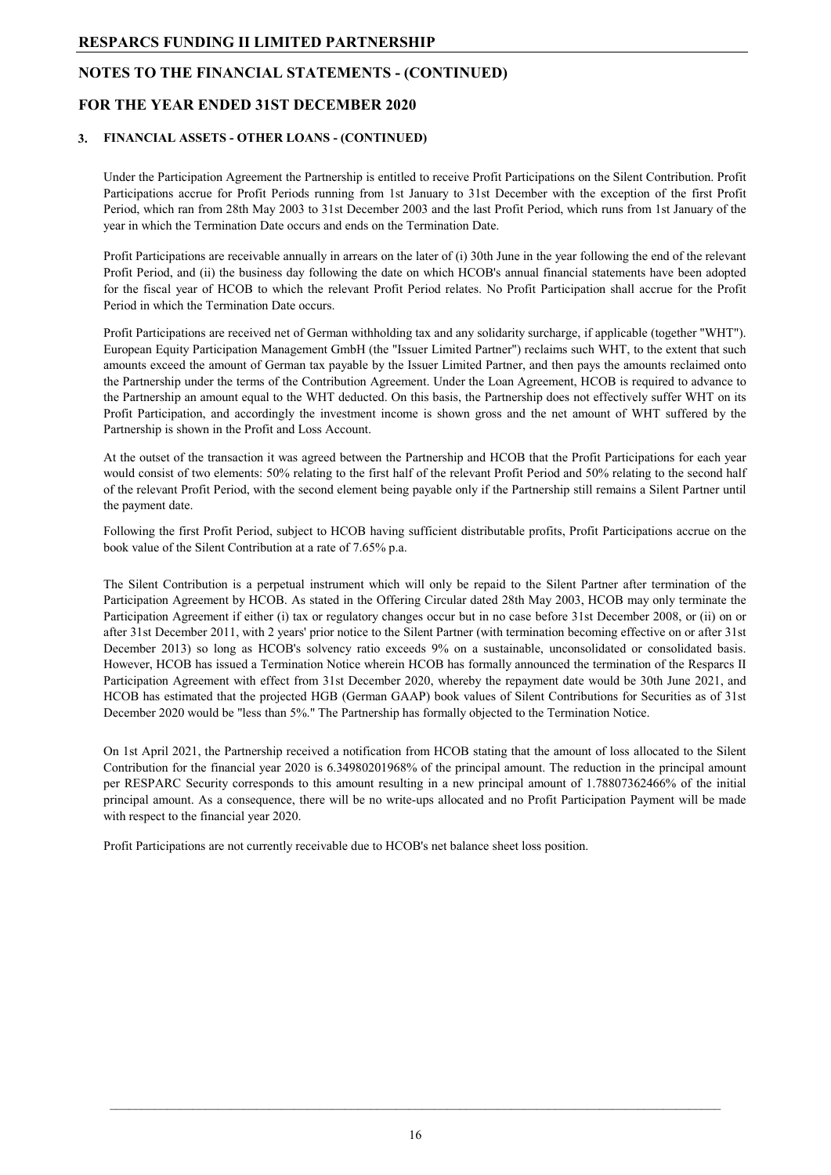#### **NOTES TO THE FINANCIAL STATEMENTS - (CONTINUED)**

#### **FOR THE YEAR ENDED 31ST DECEMBER 2020**

#### **3. FINANCIAL ASSETS - OTHER LOANS - (CONTINUED)**

Under the Participation Agreement the Partnership is entitled to receive Profit Participations on the Silent Contribution. Profit Participations accrue for Profit Periods running from 1st January to 31st December with the exception of the first Profit Period, which ran from 28th May 2003 to 31st December 2003 and the last Profit Period, which runs from 1st January of the year in which the Termination Date occurs and ends on the Termination Date.

Profit Participations are receivable annually in arrears on the later of (i) 30th June in the year following the end of the relevant Profit Period, and (ii) the business day following the date on which HCOB's annual financial statements have been adopted for the fiscal year of HCOB to which the relevant Profit Period relates. No Profit Participation shall accrue for the Profit Period in which the Termination Date occurs.

Profit Participations are received net of German withholding tax and any solidarity surcharge, if applicable (together "WHT"). European Equity Participation Management GmbH (the "Issuer Limited Partner") reclaims such WHT, to the extent that such amounts exceed the amount of German tax payable by the Issuer Limited Partner, and then pays the amounts reclaimed onto the Partnership under the terms of the Contribution Agreement. Under the Loan Agreement, HCOB is required to advance to the Partnership an amount equal to the WHT deducted. On this basis, the Partnership does not effectively suffer WHT on its Profit Participation, and accordingly the investment income is shown gross and the net amount of WHT suffered by the Partnership is shown in the Profit and Loss Account.

At the outset of the transaction it was agreed between the Partnership and HCOB that the Profit Participations for each year would consist of two elements: 50% relating to the first half of the relevant Profit Period and 50% relating to the second half of the relevant Profit Period, with the second element being payable only if the Partnership still remains a Silent Partner until the payment date.

Following the first Profit Period, subject to HCOB having sufficient distributable profits, Profit Participations accrue on the book value of the Silent Contribution at a rate of 7.65% p.a.

The Silent Contribution is a perpetual instrument which will only be repaid to the Silent Partner after termination of the Participation Agreement by HCOB. As stated in the Offering Circular dated 28th May 2003, HCOB may only terminate the Participation Agreement if either (i) tax or regulatory changes occur but in no case before 31st December 2008, or (ii) on or after 31st December 2011, with 2 years' prior notice to the Silent Partner (with termination becoming effective on or after 31st December 2013) so long as HCOB's solvency ratio exceeds 9% on a sustainable, unconsolidated or consolidated basis. However, HCOB has issued a Termination Notice wherein HCOB has formally announced the termination of the Resparcs II Participation Agreement with effect from 31st December 2020, whereby the repayment date would be 30th June 2021, and HCOB has estimated that the projected HGB (German GAAP) book values of Silent Contributions for Securities as of 31st December 2020 would be "less than 5%." The Partnership has formally objected to the Termination Notice.

On 1st April 2021, the Partnership received a notification from HCOB stating that the amount of loss allocated to the Silent Contribution for the financial year 2020 is 6.34980201968% of the principal amount. The reduction in the principal amount per RESPARC Security corresponds to this amount resulting in a new principal amount of 1.78807362466% of the initial principal amount. As a consequence, there will be no write-ups allocated and no Profit Participation Payment will be made with respect to the financial year 2020.

Profit Participations are not currently receivable due to HCOB's net balance sheet loss position.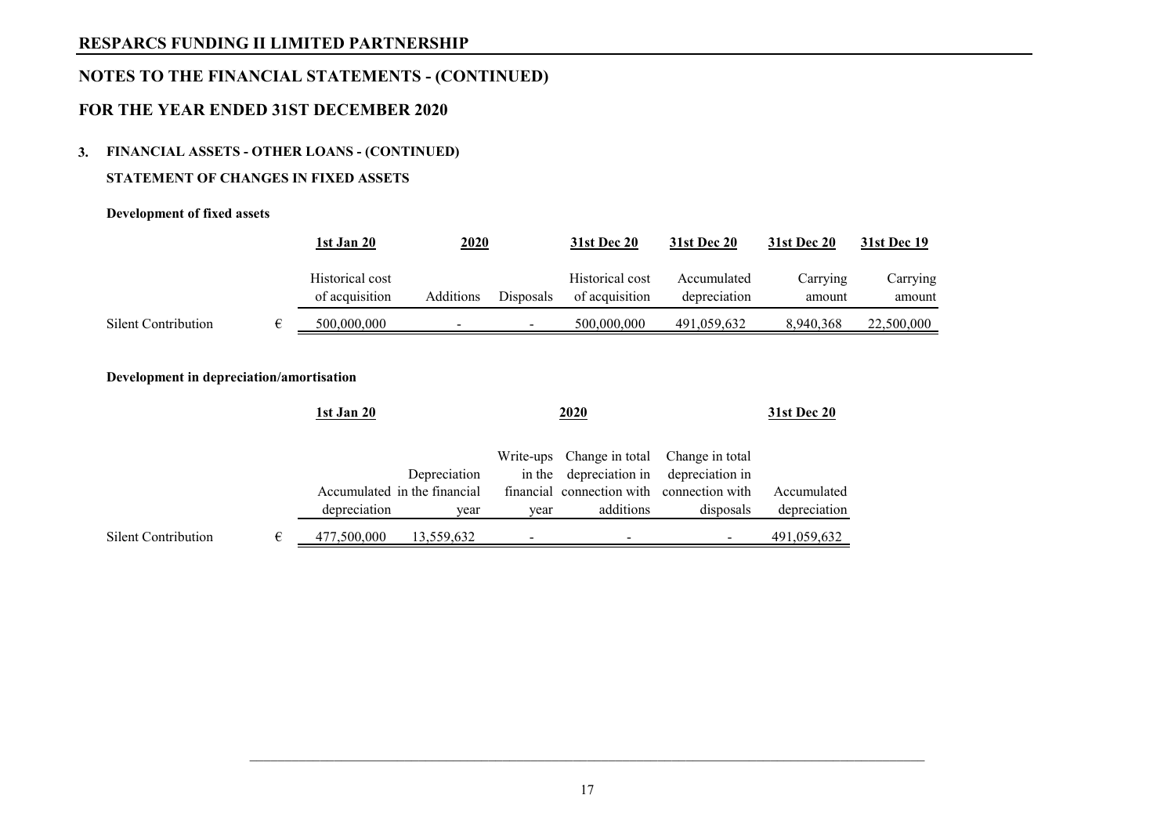## **NOTES TO THE FINANCIAL STATEMENTS - (CONTINUED)**

## **FOR THE YEAR ENDED 31ST DECEMBER 2020**

#### **3. FINANCIAL ASSETS - OTHER LOANS - (CONTINUED)**

#### **STATEMENT OF CHANGES IN FIXED ASSETS**

#### **Development of fixed assets**

|                     | 2020<br>1st Jan 20                |           | <b>31st Dec 20</b> | <b>31st Dec 20</b>                | <b>31st Dec 20</b>          | <b>31st Dec 19</b> |                    |
|---------------------|-----------------------------------|-----------|--------------------|-----------------------------------|-----------------------------|--------------------|--------------------|
|                     | Historical cost<br>of acquisition | Additions | Disposals          | Historical cost<br>of acquisition | Accumulated<br>depreciation | Carrying<br>amount | Carrying<br>amount |
| Silent Contribution | 500,000,000                       | -         |                    | 500,000,000                       | 491,059,632                 | 8.940.368          | 22,500,000         |
|                     |                                   |           |                    |                                   |                             |                    |                    |

#### **Development in depreciation/amortisation**

|                     |   | <u>1st Jan 20</u> |                                                      |      | <u>2020</u>                                                                                                                                   | 31st Dec 20    |                             |
|---------------------|---|-------------------|------------------------------------------------------|------|-----------------------------------------------------------------------------------------------------------------------------------------------|----------------|-----------------------------|
|                     |   | depreciation      | Depreciation<br>Accumulated in the financial<br>year | year | Write-ups Change in total Change in total<br>in the depreciation in depreciation in<br>financial connection with connection with<br>additions | disposals      | Accumulated<br>depreciation |
| Silent Contribution | € | 477,500,000       | 13,559,632                                           |      | $\blacksquare$                                                                                                                                | $\blacksquare$ | 491,059,632                 |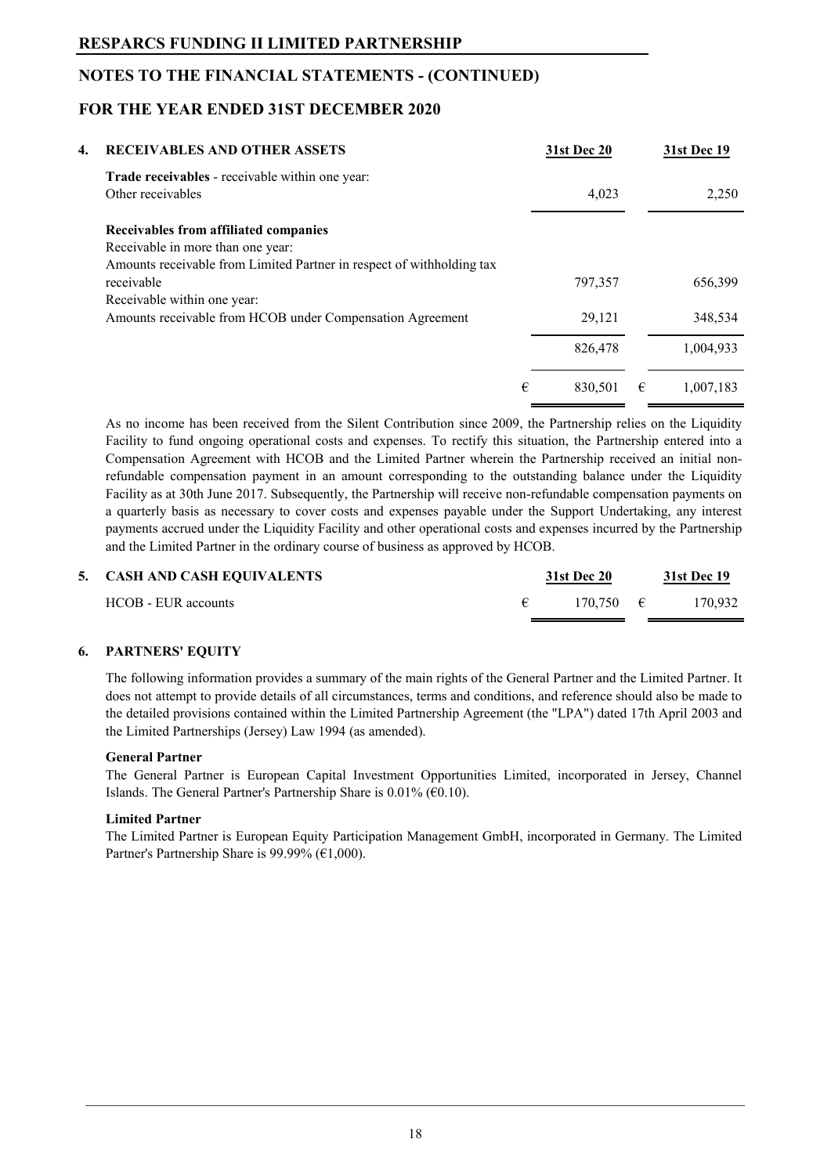## **NOTES TO THE FINANCIAL STATEMENTS - (CONTINUED)**

## **FOR THE YEAR ENDED 31ST DECEMBER 2020**

| 4. | <b>RECEIVABLES AND OTHER ASSETS</b>                                   |   | 31st Dec 20 |   | 31st Dec 19 |
|----|-----------------------------------------------------------------------|---|-------------|---|-------------|
|    | <b>Trade receivables</b> - receivable within one year:                |   |             |   |             |
|    | Other receivables                                                     |   | 4,023       |   | 2,250       |
|    | Receivables from affiliated companies                                 |   |             |   |             |
|    | Receivable in more than one year:                                     |   |             |   |             |
|    | Amounts receivable from Limited Partner in respect of withholding tax |   |             |   |             |
|    | receivable                                                            |   | 797,357     |   | 656,399     |
|    | Receivable within one year:                                           |   |             |   |             |
|    | Amounts receivable from HCOB under Compensation Agreement             |   | 29,121      |   | 348,534     |
|    |                                                                       |   | 826,478     |   | 1,004,933   |
|    |                                                                       | € | 830,501     | € | 1.007.183   |

As no income has been received from the Silent Contribution since 2009, the Partnership relies on the Liquidity Facility to fund ongoing operational costs and expenses. To rectify this situation, the Partnership entered into a Compensation Agreement with HCOB and the Limited Partner wherein the Partnership received an initial nonrefundable compensation payment in an amount corresponding to the outstanding balance under the Liquidity Facility as at 30th June 2017. Subsequently, the Partnership will receive non-refundable compensation payments on a quarterly basis as necessary to cover costs and expenses payable under the Support Undertaking, any interest payments accrued under the Liquidity Facility and other operational costs and expenses incurred by the Partnership and the Limited Partner in the ordinary course of business as approved by HCOB.

| 5. CASH AND CASH EQUIVALENTS | <b>31st Dec 20</b> |                     |  | <b>31st Dec 19</b> |
|------------------------------|--------------------|---------------------|--|--------------------|
| HCOB - EUR accounts          |                    | $170.750 \quad \in$ |  | 170.932            |

#### **6. PARTNERS' EQUITY**

The following information provides a summary of the main rights of the General Partner and the Limited Partner. It does not attempt to provide details of all circumstances, terms and conditions, and reference should also be made to the detailed provisions contained within the Limited Partnership Agreement (the "LPA") dated 17th April 2003 and the Limited Partnerships (Jersey) Law 1994 (as amended).

#### **General Partner**

The General Partner is European Capital Investment Opportunities Limited, incorporated in Jersey, Channel Islands. The General Partner's Partnership Share is  $0.01\%$  ( $60.10$ ).

#### **Limited Partner**

The Limited Partner is European Equity Participation Management GmbH, incorporated in Germany. The Limited Partner's Partnership Share is 99.99% ( $€1,000$ ).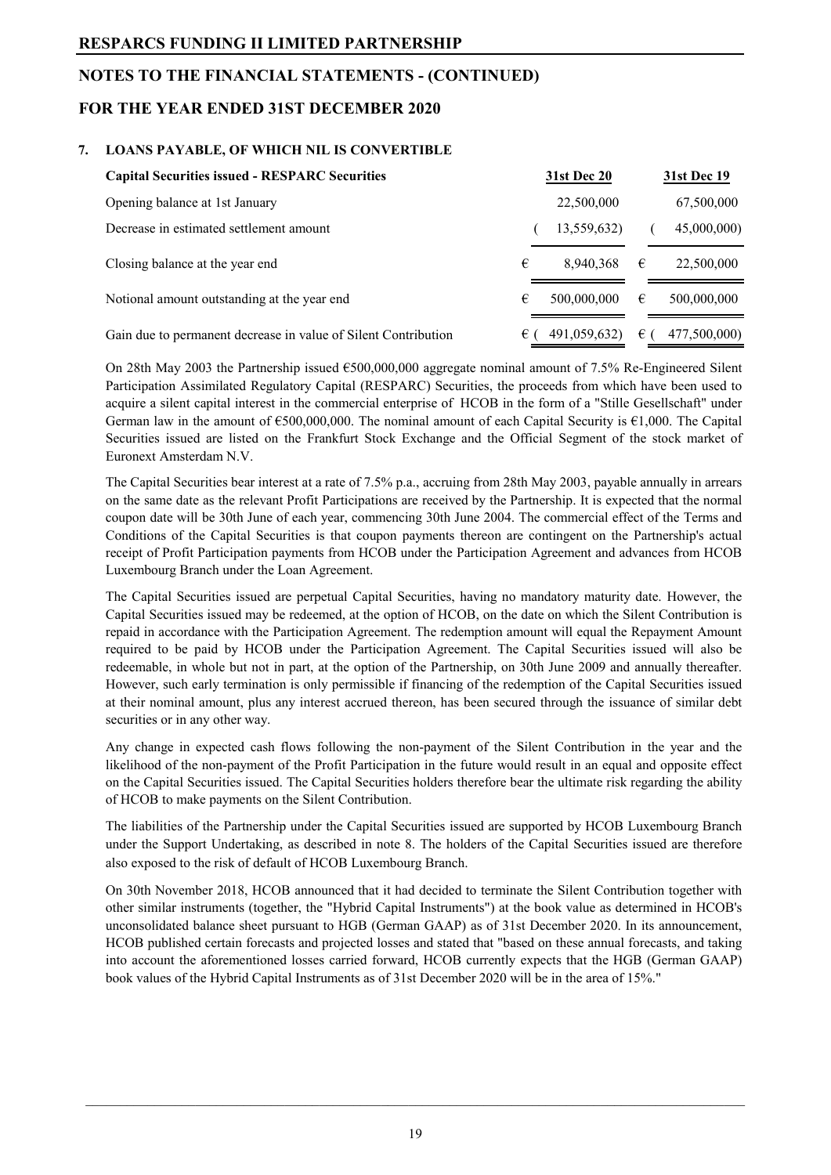## **NOTES TO THE FINANCIAL STATEMENTS - (CONTINUED)**

## **FOR THE YEAR ENDED 31ST DECEMBER 2020**

#### **7. LOANS PAYABLE, OF WHICH NIL IS CONVERTIBLE**

| <b>Capital Securities issued - RESPARC Securities</b>          | <b>31st Dec 20</b> | <b>31st Dec 19</b> |
|----------------------------------------------------------------|--------------------|--------------------|
| Opening balance at 1st January                                 | 22,500,000         | 67,500,000         |
| Decrease in estimated settlement amount                        | 13,559,632)        | 45,000,000)        |
| Closing balance at the year end                                | €<br>8,940,368     | 22,500,000<br>€    |
| Notional amount outstanding at the year end                    | €<br>500,000,000   | €<br>500,000,000   |
| Gain due to permanent decrease in value of Silent Contribution | 491,059,632)<br>€  | 477,500,000)<br>€  |

On 28th May 2003 the Partnership issued €500,000,000 aggregate nominal amount of 7.5% Re-Engineered Silent Participation Assimilated Regulatory Capital (RESPARC) Securities, the proceeds from which have been used to acquire a silent capital interest in the commercial enterprise of HCOB in the form of a "Stille Gesellschaft" under German law in the amount of  $\epsilon$ 500,000,000. The nominal amount of each Capital Security is  $\epsilon$ 1,000. The Capital Securities issued are listed on the Frankfurt Stock Exchange and the Official Segment of the stock market of Euronext Amsterdam N.V.

The Capital Securities bear interest at a rate of 7.5% p.a., accruing from 28th May 2003, payable annually in arrears on the same date as the relevant Profit Participations are received by the Partnership. It is expected that the normal coupon date will be 30th June of each year, commencing 30th June 2004. The commercial effect of the Terms and Conditions of the Capital Securities is that coupon payments thereon are contingent on the Partnership's actual receipt of Profit Participation payments from HCOB under the Participation Agreement and advances from HCOB Luxembourg Branch under the Loan Agreement.

The Capital Securities issued are perpetual Capital Securities, having no mandatory maturity date. However, the Capital Securities issued may be redeemed, at the option of HCOB, on the date on which the Silent Contribution is repaid in accordance with the Participation Agreement. The redemption amount will equal the Repayment Amount required to be paid by HCOB under the Participation Agreement. The Capital Securities issued will also be redeemable, in whole but not in part, at the option of the Partnership, on 30th June 2009 and annually thereafter. However, such early termination is only permissible if financing of the redemption of the Capital Securities issued at their nominal amount, plus any interest accrued thereon, has been secured through the issuance of similar debt securities or in any other way.

Any change in expected cash flows following the non-payment of the Silent Contribution in the year and the likelihood of the non-payment of the Profit Participation in the future would result in an equal and opposite effect on the Capital Securities issued. The Capital Securities holders therefore bear the ultimate risk regarding the ability of HCOB to make payments on the Silent Contribution.

The liabilities of the Partnership under the Capital Securities issued are supported by HCOB Luxembourg Branch under the Support Undertaking, as described in note 8. The holders of the Capital Securities issued are therefore also exposed to the risk of default of HCOB Luxembourg Branch.

On 30th November 2018, HCOB announced that it had decided to terminate the Silent Contribution together with other similar instruments (together, the "Hybrid Capital Instruments") at the book value as determined in HCOB's unconsolidated balance sheet pursuant to HGB (German GAAP) as of 31st December 2020. In its announcement, HCOB published certain forecasts and projected losses and stated that "based on these annual forecasts, and taking into account the aforementioned losses carried forward, HCOB currently expects that the HGB (German GAAP) book values of the Hybrid Capital Instruments as of 31st December 2020 will be in the area of 15%."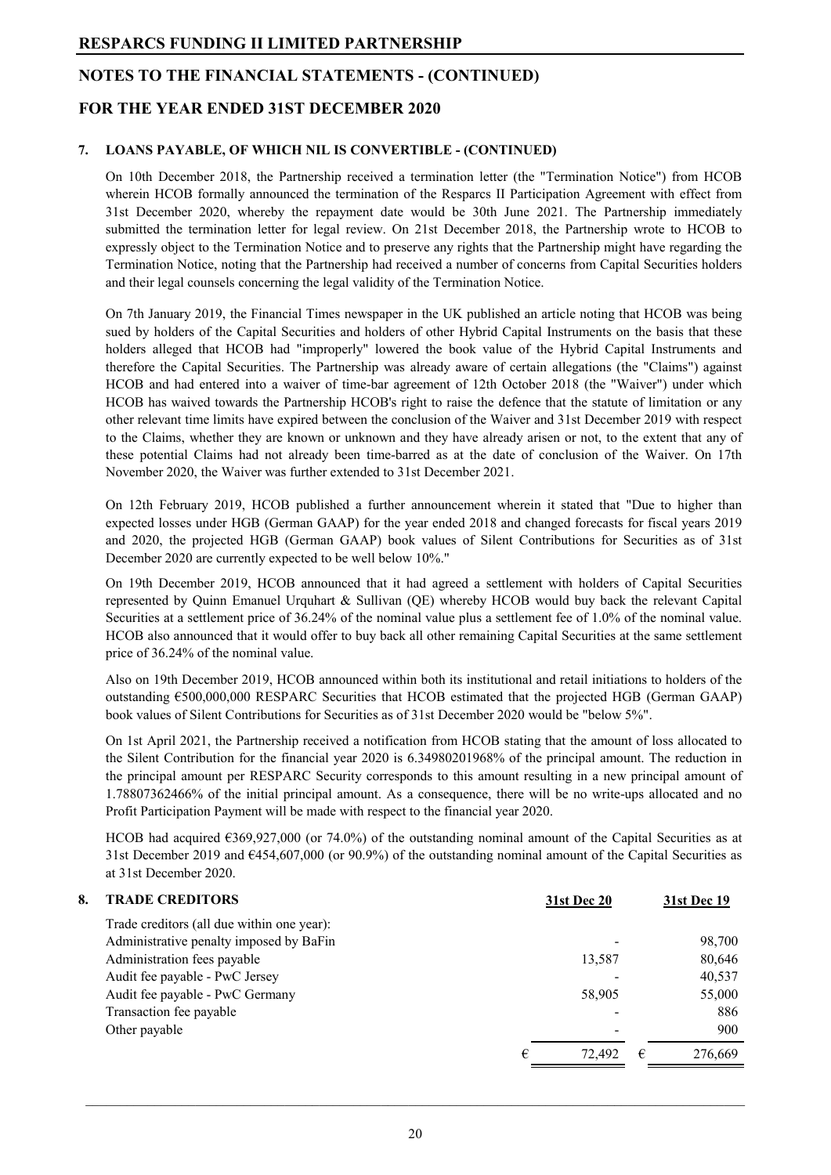## **NOTES TO THE FINANCIAL STATEMENTS - (CONTINUED)**

## **FOR THE YEAR ENDED 31ST DECEMBER 2020**

#### **7. LOANS PAYABLE, OF WHICH NIL IS CONVERTIBLE - (CONTINUED)**

On 10th December 2018, the Partnership received a termination letter (the "Termination Notice") from HCOB wherein HCOB formally announced the termination of the Resparcs II Participation Agreement with effect from 31st December 2020, whereby the repayment date would be 30th June 2021. The Partnership immediately submitted the termination letter for legal review. On 21st December 2018, the Partnership wrote to HCOB to expressly object to the Termination Notice and to preserve any rights that the Partnership might have regarding the Termination Notice, noting that the Partnership had received a number of concerns from Capital Securities holders and their legal counsels concerning the legal validity of the Termination Notice.

On 7th January 2019, the Financial Times newspaper in the UK published an article noting that HCOB was being sued by holders of the Capital Securities and holders of other Hybrid Capital Instruments on the basis that these holders alleged that HCOB had "improperly" lowered the book value of the Hybrid Capital Instruments and therefore the Capital Securities. The Partnership was already aware of certain allegations (the "Claims") against HCOB and had entered into a waiver of time-bar agreement of 12th October 2018 (the "Waiver") under which HCOB has waived towards the Partnership HCOB's right to raise the defence that the statute of limitation or any other relevant time limits have expired between the conclusion of the Waiver and 31st December 2019 with respect to the Claims, whether they are known or unknown and they have already arisen or not, to the extent that any of these potential Claims had not already been time-barred as at the date of conclusion of the Waiver. On 17th November 2020, the Waiver was further extended to 31st December 2021.

On 12th February 2019, HCOB published a further announcement wherein it stated that "Due to higher than expected losses under HGB (German GAAP) for the year ended 2018 and changed forecasts for fiscal years 2019 and 2020, the projected HGB (German GAAP) book values of Silent Contributions for Securities as of 31st December 2020 are currently expected to be well below 10%."

On 19th December 2019, HCOB announced that it had agreed a settlement with holders of Capital Securities represented by Quinn Emanuel Urquhart & Sullivan (QE) whereby HCOB would buy back the relevant Capital Securities at a settlement price of 36.24% of the nominal value plus a settlement fee of 1.0% of the nominal value. HCOB also announced that it would offer to buy back all other remaining Capital Securities at the same settlement price of 36.24% of the nominal value.

Also on 19th December 2019, HCOB announced within both its institutional and retail initiations to holders of the outstanding €500,000,000 RESPARC Securities that HCOB estimated that the projected HGB (German GAAP) book values of Silent Contributions for Securities as of 31st December 2020 would be "below 5%".

On 1st April 2021, the Partnership received a notification from HCOB stating that the amount of loss allocated to the Silent Contribution for the financial year 2020 is 6.34980201968% of the principal amount. The reduction in the principal amount per RESPARC Security corresponds to this amount resulting in a new principal amount of 1.78807362466% of the initial principal amount. As a consequence, there will be no write-ups allocated and no Profit Participation Payment will be made with respect to the financial year 2020.

HCOB had acquired  $6369,927,000$  (or 74.0%) of the outstanding nominal amount of the Capital Securities as at 31st December 2019 and €454,607,000 (or 90.9%) of the outstanding nominal amount of the Capital Securities as at 31st December 2020.

| 8. | <b>TRADE CREDITORS</b>                     |   | <b>31st Dec 20</b> |   | <b>31st Dec 19</b> |
|----|--------------------------------------------|---|--------------------|---|--------------------|
|    | Trade creditors (all due within one year): |   |                    |   |                    |
|    | Administrative penalty imposed by BaFin    |   |                    |   | 98,700             |
|    | Administration fees payable                |   | 13,587             |   | 80,646             |
|    | Audit fee payable - PwC Jersey             |   |                    |   | 40,537             |
|    | Audit fee payable - PwC Germany            |   | 58,905             |   | 55,000             |
|    | Transaction fee payable                    |   |                    |   | 886                |
|    | Other payable                              |   | ۰                  |   | 900                |
|    |                                            | € | 72.492             | € | 276,669            |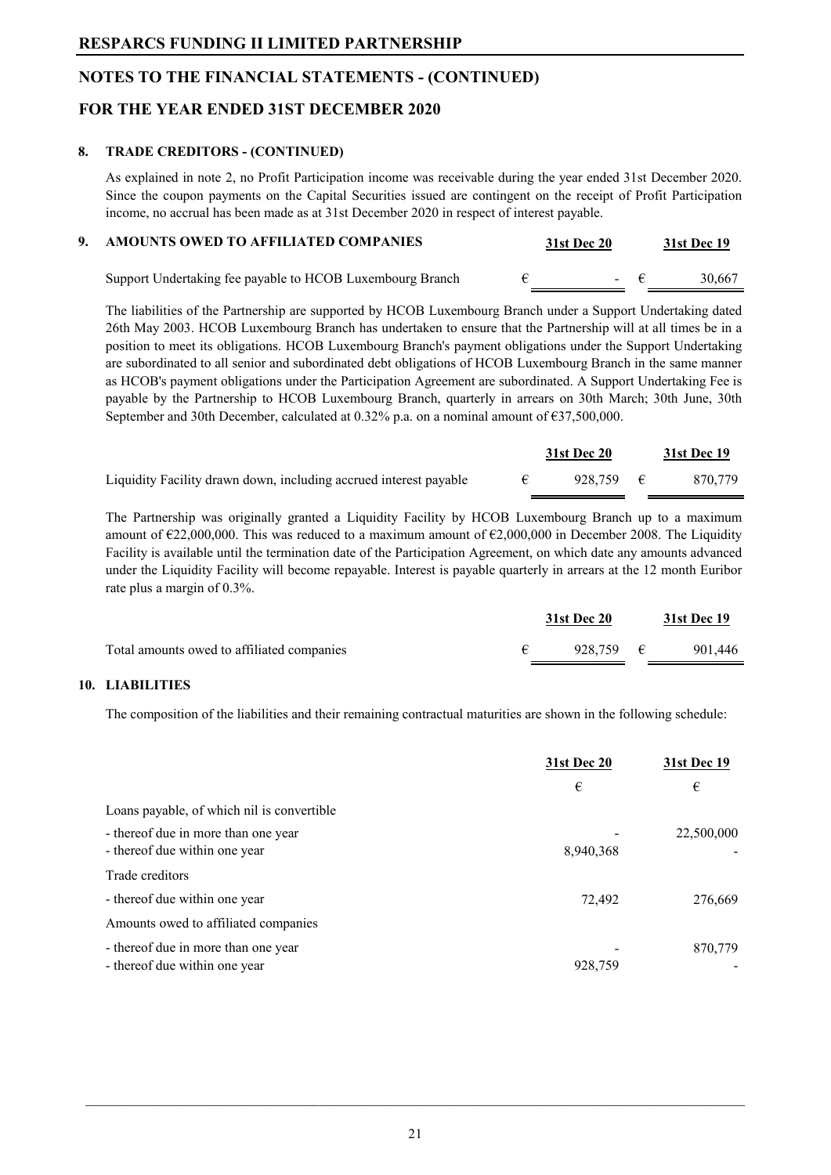## **NOTES TO THE FINANCIAL STATEMENTS - (CONTINUED)**

## **FOR THE YEAR ENDED 31ST DECEMBER 2020**

#### **8. TRADE CREDITORS - (CONTINUED)**

As explained in note 2, no Profit Participation income was receivable during the year ended 31st December 2020. Since the coupon payments on the Capital Securities issued are contingent on the receipt of Profit Participation income, no accrual has been made as at 31st December 2020 in respect of interest payable.

| AMOUNTS OWED TO AFFILIATED COMPANIES                      | <b>31st Dec 20</b> |             | 31st Dec 19 |
|-----------------------------------------------------------|--------------------|-------------|-------------|
| Support Undertaking fee payable to HCOB Luxembourg Branch |                    | $ \epsilon$ | 30,667      |

The liabilities of the Partnership are supported by HCOB Luxembourg Branch under a Support Undertaking dated 26th May 2003. HCOB Luxembourg Branch has undertaken to ensure that the Partnership will at all times be in a position to meet its obligations. HCOB Luxembourg Branch's payment obligations under the Support Undertaking are subordinated to all senior and subordinated debt obligations of HCOB Luxembourg Branch in the same manner as HCOB's payment obligations under the Participation Agreement are subordinated. A Support Undertaking Fee is payable by the Partnership to HCOB Luxembourg Branch, quarterly in arrears on 30th March; 30th June, 30th September and 30th December, calculated at 0.32% p.a. on a nominal amount of  $\epsilon$ 37,500,000.

|                                                                   | <b>31st Dec 20</b> | 31st Dec 19 |
|-------------------------------------------------------------------|--------------------|-------------|
| Liquidity Facility drawn down, including accrued interest payable | 928.759 $\epsilon$ | 870,779     |

The Partnership was originally granted a Liquidity Facility by HCOB Luxembourg Branch up to a maximum amount of  $\epsilon$ 22,000,000. This was reduced to a maximum amount of  $\epsilon$ 2,000,000 in December 2008. The Liquidity Facility is available until the termination date of the Participation Agreement, on which date any amounts advanced under the Liquidity Facility will become repayable. Interest is payable quarterly in arrears at the 12 month Euribor rate plus a margin of 0.3%.

|                                            | <b>31st Dec 20</b> | 31st Dec 19 |
|--------------------------------------------|--------------------|-------------|
| Total amounts owed to affiliated companies | 928.759 $\epsilon$ | 901,446     |

#### **10. LIABILITIES**

The composition of the liabilities and their remaining contractual maturities are shown in the following schedule:

|                                                                      | 31st Dec 20 | <b>31st Dec 19</b> |
|----------------------------------------------------------------------|-------------|--------------------|
|                                                                      | €           | €                  |
| Loans payable, of which nil is convertible                           |             |                    |
| - thereof due in more than one year<br>- thereof due within one year | 8,940,368   | 22,500,000         |
| Trade creditors                                                      |             |                    |
| - thereof due within one year                                        | 72,492      | 276,669            |
| Amounts owed to affiliated companies                                 |             |                    |
| - thereof due in more than one year<br>- thereof due within one year | 928,759     | 870,779            |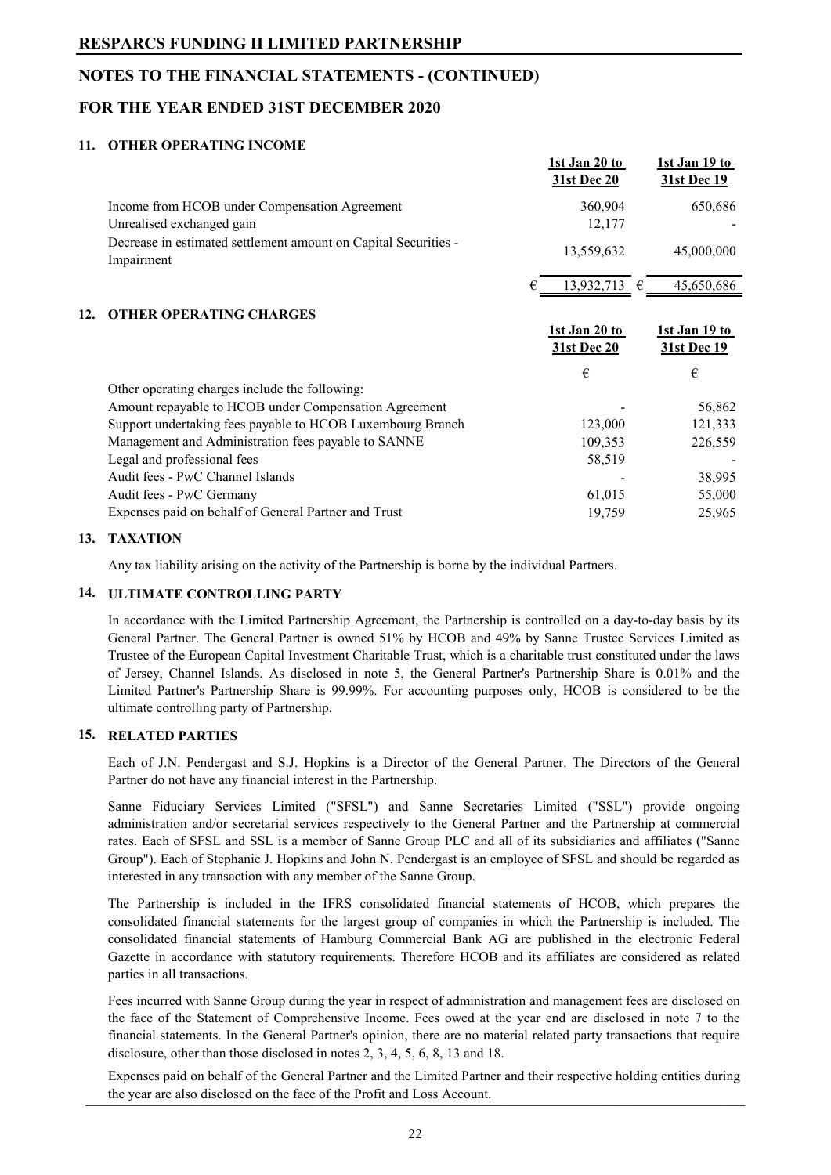## **NOTES TO THE FINANCIAL STATEMENTS - (CONTINUED)**

## **FOR THE YEAR ENDED 31ST DECEMBER 2020**

#### **11. OTHER OPERATING INCOME**

|                                                                               | 1st Jan 20 to<br><b>31st Dec 20</b> |                       | <b>1st Jan 19 to</b><br><b>31st Dec 19</b> |
|-------------------------------------------------------------------------------|-------------------------------------|-----------------------|--------------------------------------------|
| Income from HCOB under Compensation Agreement                                 |                                     | 360,904               | 650,686                                    |
| Unrealised exchanged gain                                                     |                                     | 12,177                |                                            |
| Decrease in estimated settlement amount on Capital Securities -<br>Impairment | 13,559,632                          |                       | 45,000,000                                 |
|                                                                               |                                     | 13,932,713 $\epsilon$ | 45,650,686                                 |
| <b>OTHER OPERATING CHARGES</b><br>12.                                         |                                     |                       |                                            |
|                                                                               | 1st Jan 20 to                       |                       | <u>1st Jan 19 to</u>                       |
|                                                                               | 31st Dec 20                         |                       | 31st Dec 19                                |
|                                                                               | €                                   |                       | €                                          |
| Other operating charges include the following:                                |                                     |                       |                                            |
| Amount repayable to HCOB under Compensation Agreement                         |                                     |                       | 56,862                                     |
| Support undertaking fees payable to HCOB Luxembourg Branch                    |                                     | 123,000               | 121,333                                    |
| Management and Administration fees payable to SANNE                           |                                     | 109,353               | 226,559                                    |
| Legal and professional fees                                                   |                                     | 58,519                |                                            |
| Audit fees - PwC Channel Islands                                              |                                     |                       | 38,995                                     |
| Audit fees - PwC Germany                                                      |                                     | 61,015                | 55,000                                     |

#### **13. TAXATION**

Any tax liability arising on the activity of the Partnership is borne by the individual Partners.

#### **14. ULTIMATE CONTROLLING PARTY**

In accordance with the Limited Partnership Agreement, the Partnership is controlled on a day-to-day basis by its General Partner. The General Partner is owned 51% by HCOB and 49% by Sanne Trustee Services Limited as Trustee of the European Capital Investment Charitable Trust, which is a charitable trust constituted under the laws of Jersey, Channel Islands. As disclosed in note 5, the General Partner's Partnership Share is 0.01% and the Limited Partner's Partnership Share is 99.99%. For accounting purposes only, HCOB is considered to be the ultimate controlling party of Partnership.

#### **15. RELATED PARTIES**

Each of J.N. Pendergast and S.J. Hopkins is a Director of the General Partner. The Directors of the General Partner do not have any financial interest in the Partnership.

Sanne Fiduciary Services Limited ("SFSL") and Sanne Secretaries Limited ("SSL") provide ongoing administration and/or secretarial services respectively to the General Partner and the Partnership at commercial rates. Each of SFSL and SSL is a member of Sanne Group PLC and all of its subsidiaries and affiliates ("Sanne Group"). Each of Stephanie J. Hopkins and John N. Pendergast is an employee of SFSL and should be regarded as interested in any transaction with any member of the Sanne Group.

The Partnership is included in the IFRS consolidated financial statements of HCOB, which prepares the consolidated financial statements for the largest group of companies in which the Partnership is included. The consolidated financial statements of Hamburg Commercial Bank AG are published in the electronic Federal Gazette in accordance with statutory requirements. Therefore HCOB and its affiliates are considered as related parties in all transactions.

Fees incurred with Sanne Group during the year in respect of administration and management fees are disclosed on the face of the Statement of Comprehensive Income. Fees owed at the year end are disclosed in note 7 to the financial statements. In the General Partner's opinion, there are no material related party transactions that require disclosure, other than those disclosed in notes 2, 3, 4, 5, 6, 8, 13 and 18.

Expenses paid on behalf of the General Partner and the Limited Partner and their respective holding entities during the year are also disclosed on the face of the Profit and Loss Account.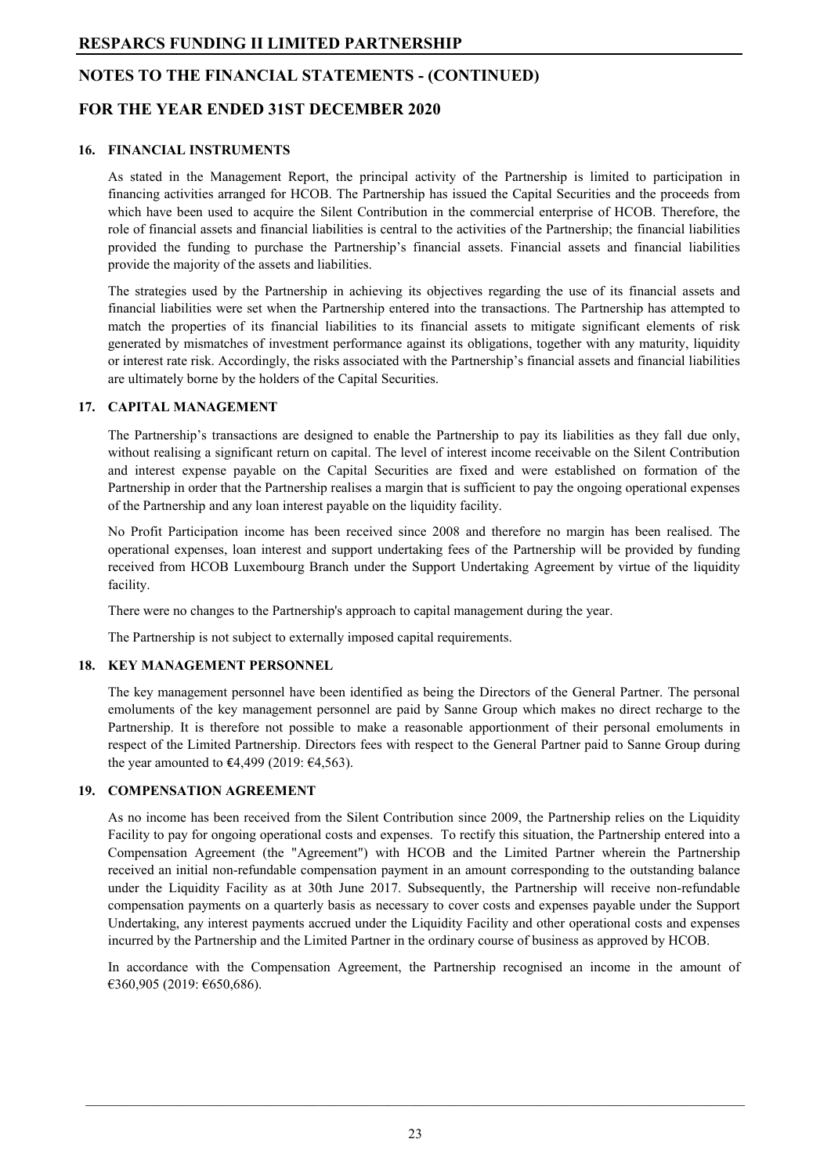## **NOTES TO THE FINANCIAL STATEMENTS - (CONTINUED)**

## **FOR THE YEAR ENDED 31ST DECEMBER 2020**

#### **16. FINANCIAL INSTRUMENTS**

As stated in the Management Report, the principal activity of the Partnership is limited to participation in financing activities arranged for HCOB. The Partnership has issued the Capital Securities and the proceeds from which have been used to acquire the Silent Contribution in the commercial enterprise of HCOB. Therefore, the role of financial assets and financial liabilities is central to the activities of the Partnership; the financial liabilities provided the funding to purchase the Partnership's financial assets. Financial assets and financial liabilities provide the majority of the assets and liabilities.

The strategies used by the Partnership in achieving its objectives regarding the use of its financial assets and financial liabilities were set when the Partnership entered into the transactions. The Partnership has attempted to match the properties of its financial liabilities to its financial assets to mitigate significant elements of risk generated by mismatches of investment performance against its obligations, together with any maturity, liquidity or interest rate risk. Accordingly, the risks associated with the Partnership's financial assets and financial liabilities are ultimately borne by the holders of the Capital Securities.

#### **17. CAPITAL MANAGEMENT**

The Partnership's transactions are designed to enable the Partnership to pay its liabilities as they fall due only, without realising a significant return on capital. The level of interest income receivable on the Silent Contribution and interest expense payable on the Capital Securities are fixed and were established on formation of the Partnership in order that the Partnership realises a margin that is sufficient to pay the ongoing operational expenses of the Partnership and any loan interest payable on the liquidity facility.

No Profit Participation income has been received since 2008 and therefore no margin has been realised. The operational expenses, loan interest and support undertaking fees of the Partnership will be provided by funding received from HCOB Luxembourg Branch under the Support Undertaking Agreement by virtue of the liquidity facility.

There were no changes to the Partnership's approach to capital management during the year.

The Partnership is not subject to externally imposed capital requirements.

#### **18. KEY MANAGEMENT PERSONNEL**

The key management personnel have been identified as being the Directors of the General Partner. The personal emoluments of the key management personnel are paid by Sanne Group which makes no direct recharge to the Partnership. It is therefore not possible to make a reasonable apportionment of their personal emoluments in respect of the Limited Partnership. Directors fees with respect to the General Partner paid to Sanne Group during the year amounted to  $\text{\textsterling}4,499$  (2019:  $\text{\textsterling}4,563$ ).

#### **19. COMPENSATION AGREEMENT**

As no income has been received from the Silent Contribution since 2009, the Partnership relies on the Liquidity Facility to pay for ongoing operational costs and expenses. To rectify this situation, the Partnership entered into a Compensation Agreement (the "Agreement") with HCOB and the Limited Partner wherein the Partnership received an initial non-refundable compensation payment in an amount corresponding to the outstanding balance under the Liquidity Facility as at 30th June 2017. Subsequently, the Partnership will receive non-refundable compensation payments on a quarterly basis as necessary to cover costs and expenses payable under the Support Undertaking, any interest payments accrued under the Liquidity Facility and other operational costs and expenses incurred by the Partnership and the Limited Partner in the ordinary course of business as approved by HCOB.

In accordance with the Compensation Agreement, the Partnership recognised an income in the amount of €360,905 (2019: €650,686).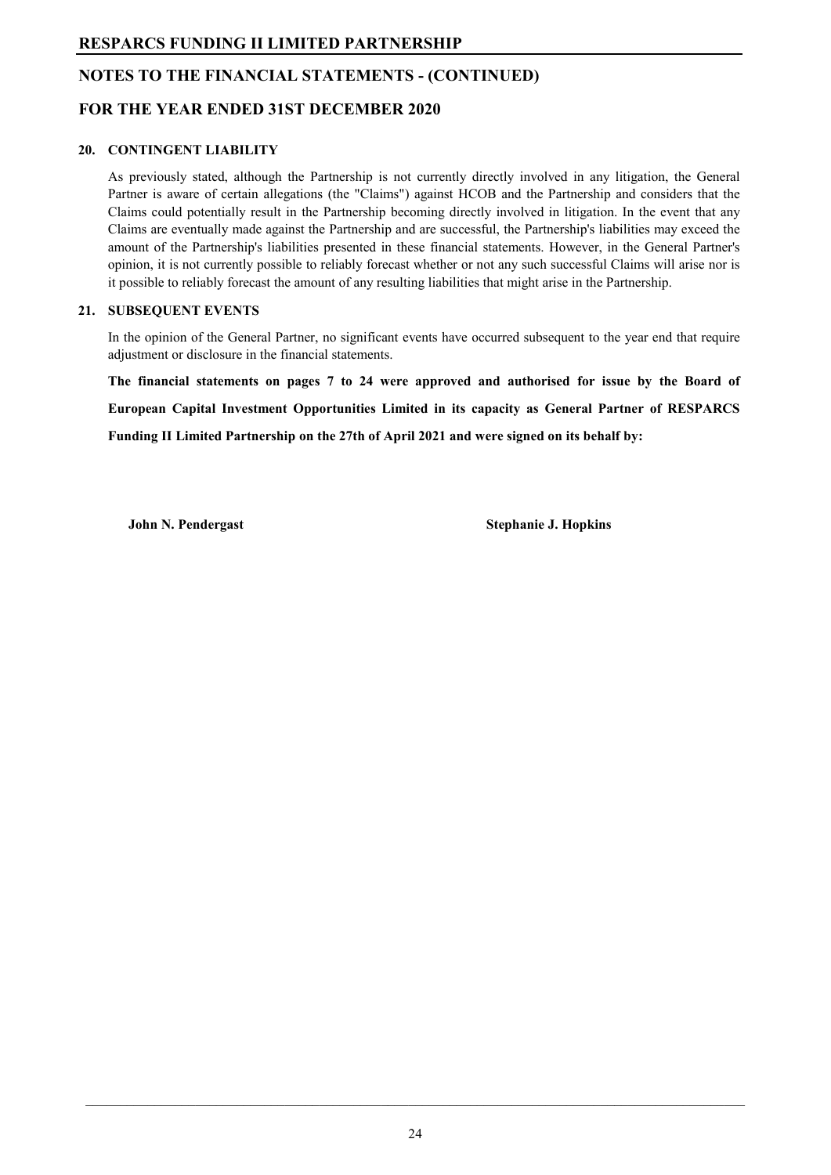## **NOTES TO THE FINANCIAL STATEMENTS - (CONTINUED)**

## **FOR THE YEAR ENDED 31ST DECEMBER 2020**

#### **20. CONTINGENT LIABILITY**

As previously stated, although the Partnership is not currently directly involved in any litigation, the General Partner is aware of certain allegations (the "Claims") against HCOB and the Partnership and considers that the Claims could potentially result in the Partnership becoming directly involved in litigation. In the event that any Claims are eventually made against the Partnership and are successful, the Partnership's liabilities may exceed the amount of the Partnership's liabilities presented in these financial statements. However, in the General Partner's opinion, it is not currently possible to reliably forecast whether or not any such successful Claims will arise nor is it possible to reliably forecast the amount of any resulting liabilities that might arise in the Partnership.

#### **21. SUBSEQUENT EVENTS**

In the opinion of the General Partner, no significant events have occurred subsequent to the year end that require adjustment or disclosure in the financial statements.

**The financial statements on pages 7 to 24 were approved and authorised for issue by the Board of European Capital Investment Opportunities Limited in its capacity as General Partner of RESPARCS Funding II Limited Partnership on the 27th of April 2021 and were signed on its behalf by:**

**John N. Pendergast** Stephanie J. Hopkins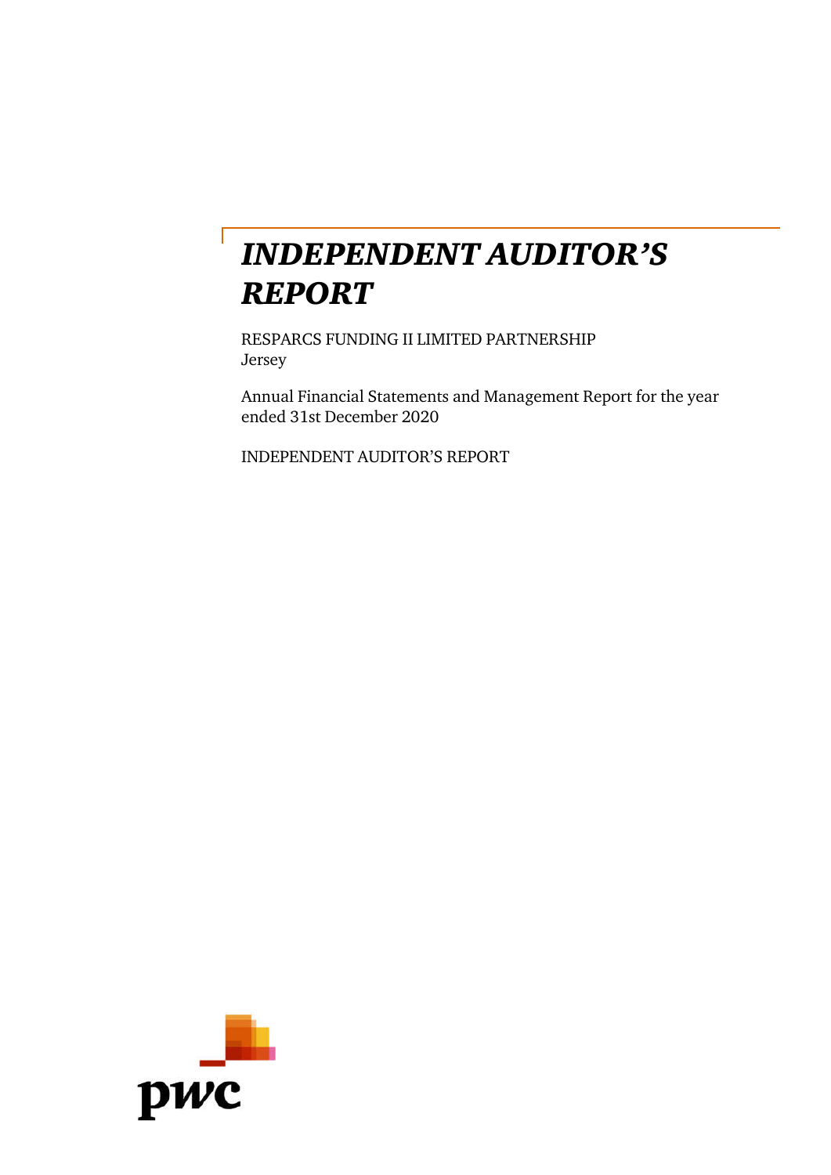# INDEPENDENT AUDITOR'S REPORT

RESPARCS FUNDING II LIMITED PARTNERSHIP Jersey

Annual Financial Statements and Management Report for the year ended 31st December 2020

INDEPENDENT AUDITOR'S REPORT

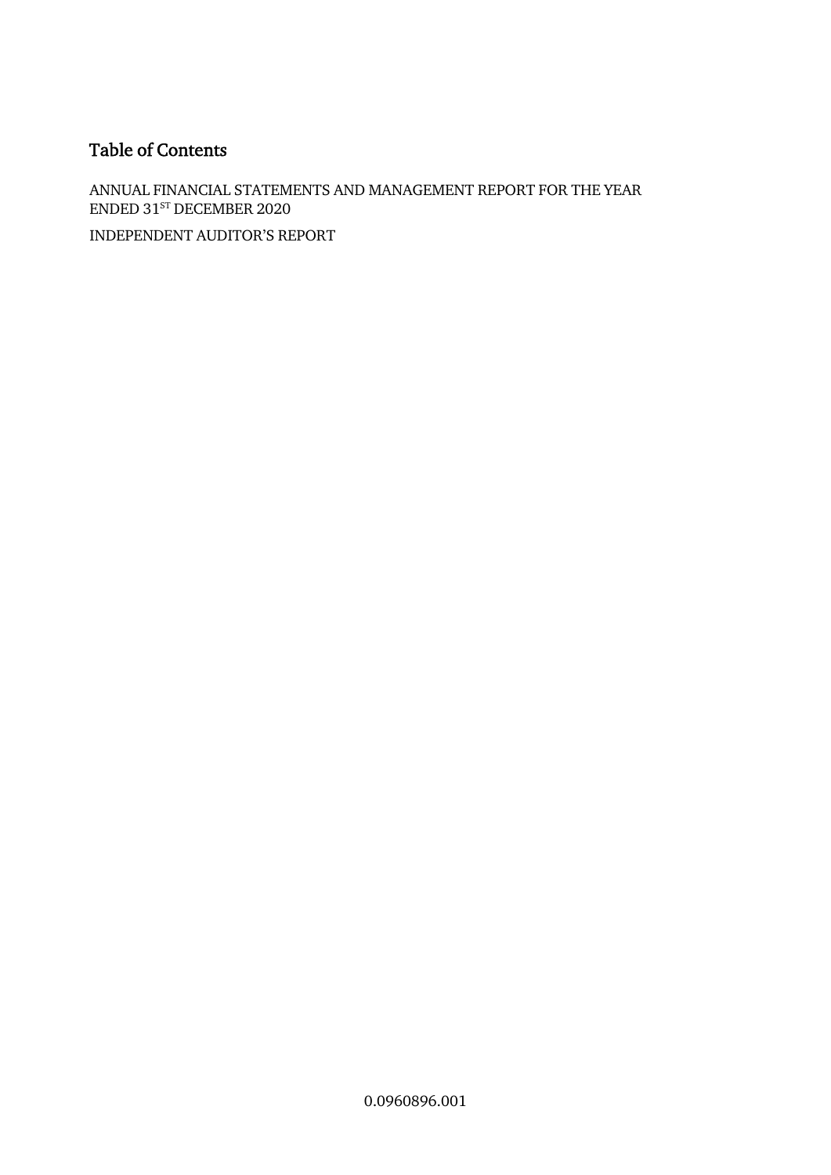# Table of Contents

ANNUAL FINANCIAL STATEMENTS AND MANAGEMENT REPORT FOR THE YEAR ENDED 31<sup>st</sup> DECEMBER 2020

INDEPENDENT AUDITOR'S REPORT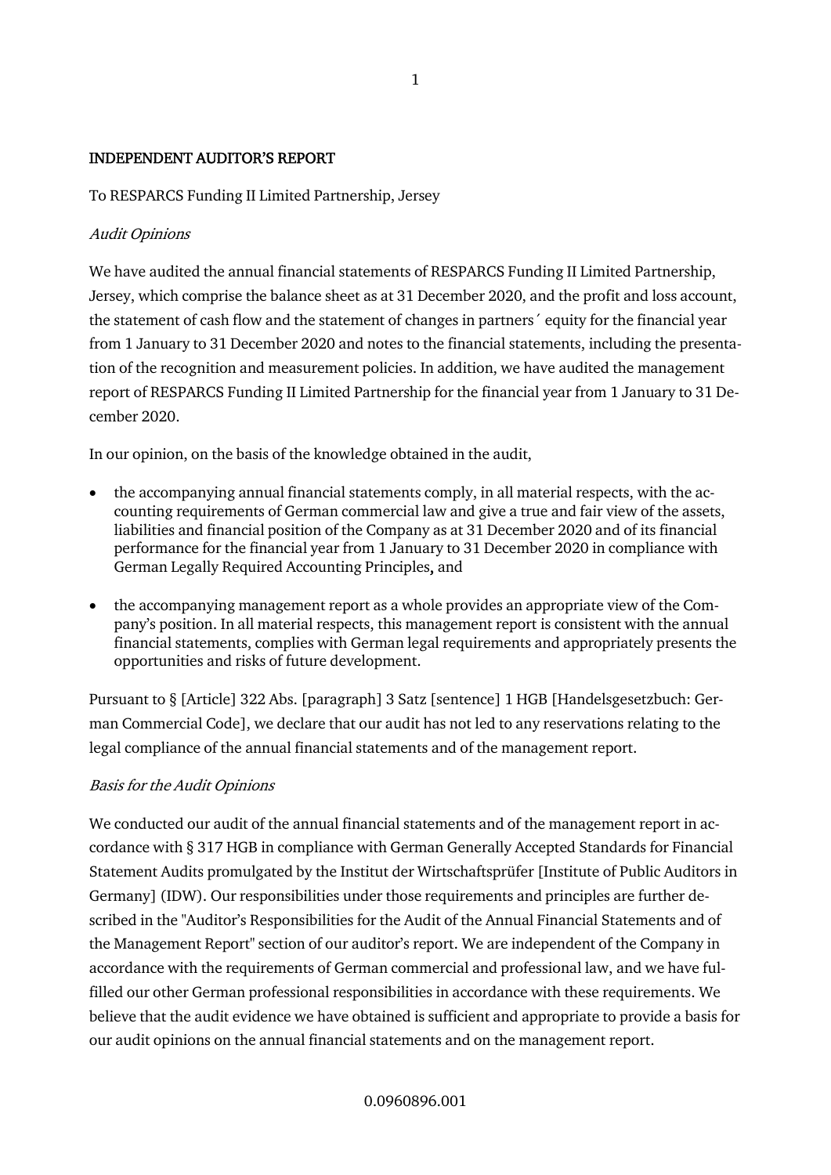## INDEPENDENT AUDITOR'S REPORT

To RESPARCS Funding II Limited Partnership, Jersey

## Audit Opinions

We have audited the annual financial statements of RESPARCS Funding II Limited Partnership, Jersey, which comprise the balance sheet as at 31 December 2020, and the profit and loss account, the statement of cash flow and the statement of changes in partners´ equity for the financial year from 1 January to 31 December 2020 and notes to the financial statements, including the presentation of the recognition and measurement policies. In addition, we have audited the management report of RESPARCS Funding II Limited Partnership for the financial year from 1 January to 31 December 2020.

In our opinion, on the basis of the knowledge obtained in the audit,

- the accompanying annual financial statements comply, in all material respects, with the accounting requirements of German commercial law and give a true and fair view of the assets, liabilities and financial position of the Company as at 31 December 2020 and of its financial performance for the financial year from 1 January to 31 December 2020 in compliance with German Legally Required Accounting Principles, and
- the accompanying management report as a whole provides an appropriate view of the Company's position. In all material respects, this management report is consistent with the annual financial statements, complies with German legal requirements and appropriately presents the opportunities and risks of future development.

Pursuant to § [Article] 322 Abs. [paragraph] 3 Satz [sentence] 1 HGB [Handelsgesetzbuch: German Commercial Code], we declare that our audit has not led to any reservations relating to the legal compliance of the annual financial statements and of the management report.

## Basis for the Audit Opinions

We conducted our audit of the annual financial statements and of the management report in accordance with § 317 HGB in compliance with German Generally Accepted Standards for Financial Statement Audits promulgated by the Institut der Wirtschaftsprüfer [Institute of Public Auditors in Germany] (IDW). Our responsibilities under those requirements and principles are further described in the "Auditor's Responsibilities for the Audit of the Annual Financial Statements and of the Management Report" section of our auditor's report. We are independent of the Company in accordance with the requirements of German commercial and professional law, and we have fulfilled our other German professional responsibilities in accordance with these requirements. We believe that the audit evidence we have obtained is sufficient and appropriate to provide a basis for our audit opinions on the annual financial statements and on the management report.

### 0.0960896.001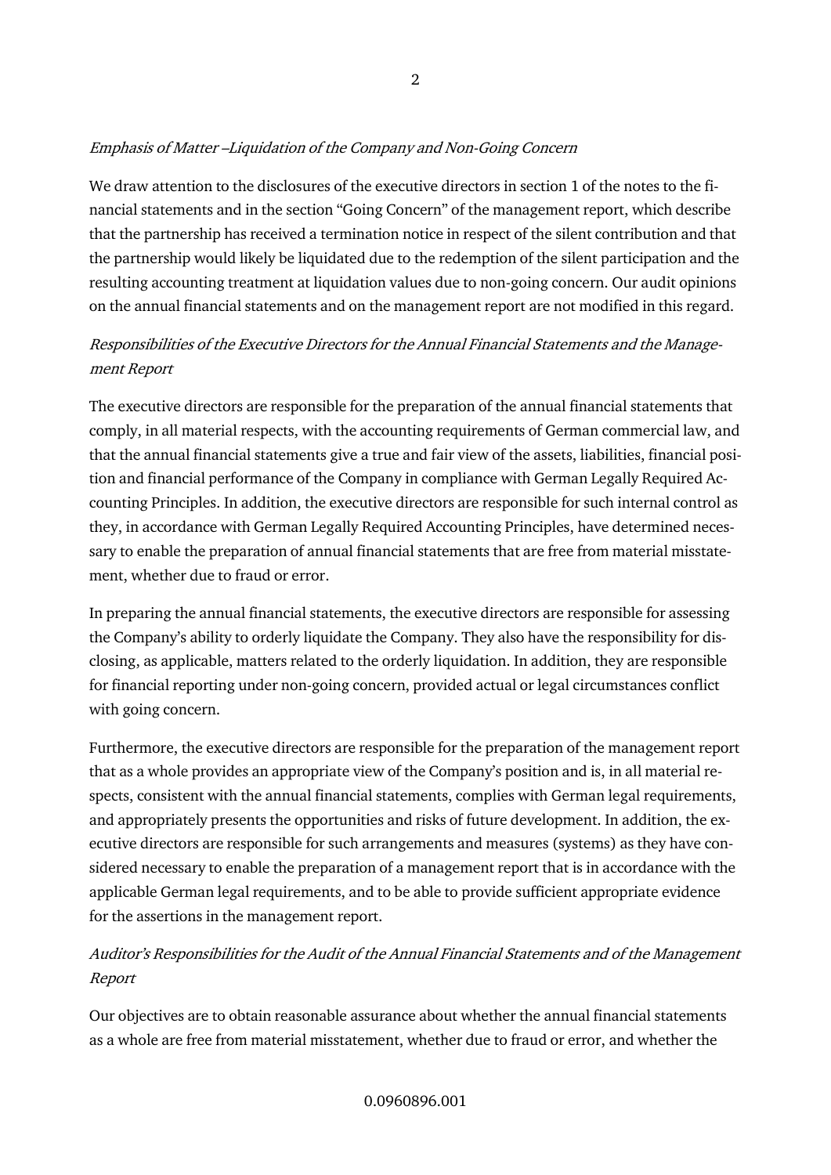## Emphasis of Matter –Liquidation of the Company and Non-Going Concern

We draw attention to the disclosures of the executive directors in section 1 of the notes to the financial statements and in the section "Going Concern" of the management report, which describe that the partnership has received a termination notice in respect of the silent contribution and that the partnership would likely be liquidated due to the redemption of the silent participation and the resulting accounting treatment at liquidation values due to non-going concern. Our audit opinions on the annual financial statements and on the management report are not modified in this regard.

# Responsibilities of the Executive Directors for the Annual Financial Statements and the Management Report

The executive directors are responsible for the preparation of the annual financial statements that comply, in all material respects, with the accounting requirements of German commercial law, and that the annual financial statements give a true and fair view of the assets, liabilities, financial position and financial performance of the Company in compliance with German Legally Required Accounting Principles. In addition, the executive directors are responsible for such internal control as they, in accordance with German Legally Required Accounting Principles, have determined necessary to enable the preparation of annual financial statements that are free from material misstatement, whether due to fraud or error.

In preparing the annual financial statements, the executive directors are responsible for assessing the Company's ability to orderly liquidate the Company. They also have the responsibility for disclosing, as applicable, matters related to the orderly liquidation. In addition, they are responsible for financial reporting under non-going concern, provided actual or legal circumstances conflict with going concern.

Furthermore, the executive directors are responsible for the preparation of the management report that as a whole provides an appropriate view of the Company's position and is, in all material respects, consistent with the annual financial statements, complies with German legal requirements, and appropriately presents the opportunities and risks of future development. In addition, the executive directors are responsible for such arrangements and measures (systems) as they have considered necessary to enable the preparation of a management report that is in accordance with the applicable German legal requirements, and to be able to provide sufficient appropriate evidence for the assertions in the management report.

# Auditor's Responsibilities for the Audit of the Annual Financial Statements and of the Management Report

Our objectives are to obtain reasonable assurance about whether the annual financial statements as a whole are free from material misstatement, whether due to fraud or error, and whether the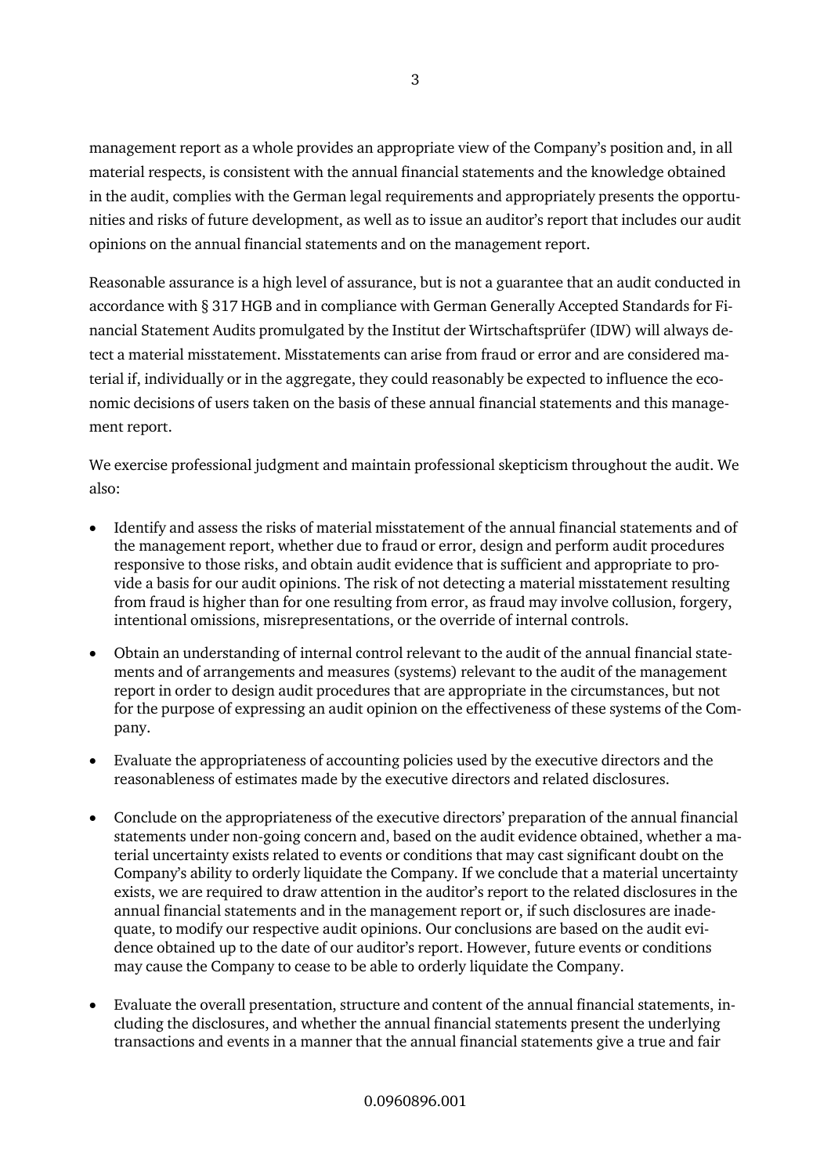management report as a whole provides an appropriate view of the Company's position and, in all material respects, is consistent with the annual financial statements and the knowledge obtained in the audit, complies with the German legal requirements and appropriately presents the opportunities and risks of future development, as well as to issue an auditor's report that includes our audit opinions on the annual financial statements and on the management report.

Reasonable assurance is a high level of assurance, but is not a guarantee that an audit conducted in accordance with § 317 HGB and in compliance with German Generally Accepted Standards for Financial Statement Audits promulgated by the Institut der Wirtschaftsprüfer (IDW) will always detect a material misstatement. Misstatements can arise from fraud or error and are considered material if, individually or in the aggregate, they could reasonably be expected to influence the economic decisions of users taken on the basis of these annual financial statements and this management report.

We exercise professional judgment and maintain professional skepticism throughout the audit. We also:

- Identify and assess the risks of material misstatement of the annual financial statements and of the management report, whether due to fraud or error, design and perform audit procedures responsive to those risks, and obtain audit evidence that is sufficient and appropriate to provide a basis for our audit opinions. The risk of not detecting a material misstatement resulting from fraud is higher than for one resulting from error, as fraud may involve collusion, forgery, intentional omissions, misrepresentations, or the override of internal controls.
- Obtain an understanding of internal control relevant to the audit of the annual financial statements and of arrangements and measures (systems) relevant to the audit of the management report in order to design audit procedures that are appropriate in the circumstances, but not for the purpose of expressing an audit opinion on the effectiveness of these systems of the Company.
- Evaluate the appropriateness of accounting policies used by the executive directors and the reasonableness of estimates made by the executive directors and related disclosures.
- Conclude on the appropriateness of the executive directors' preparation of the annual financial statements under non-going concern and, based on the audit evidence obtained, whether a material uncertainty exists related to events or conditions that may cast significant doubt on the Company's ability to orderly liquidate the Company. If we conclude that a material uncertainty exists, we are required to draw attention in the auditor's report to the related disclosures in the annual financial statements and in the management report or, if such disclosures are inadequate, to modify our respective audit opinions. Our conclusions are based on the audit evidence obtained up to the date of our auditor's report. However, future events or conditions may cause the Company to cease to be able to orderly liquidate the Company.
- Evaluate the overall presentation, structure and content of the annual financial statements, including the disclosures, and whether the annual financial statements present the underlying transactions and events in a manner that the annual financial statements give a true and fair

### 0.0960896.001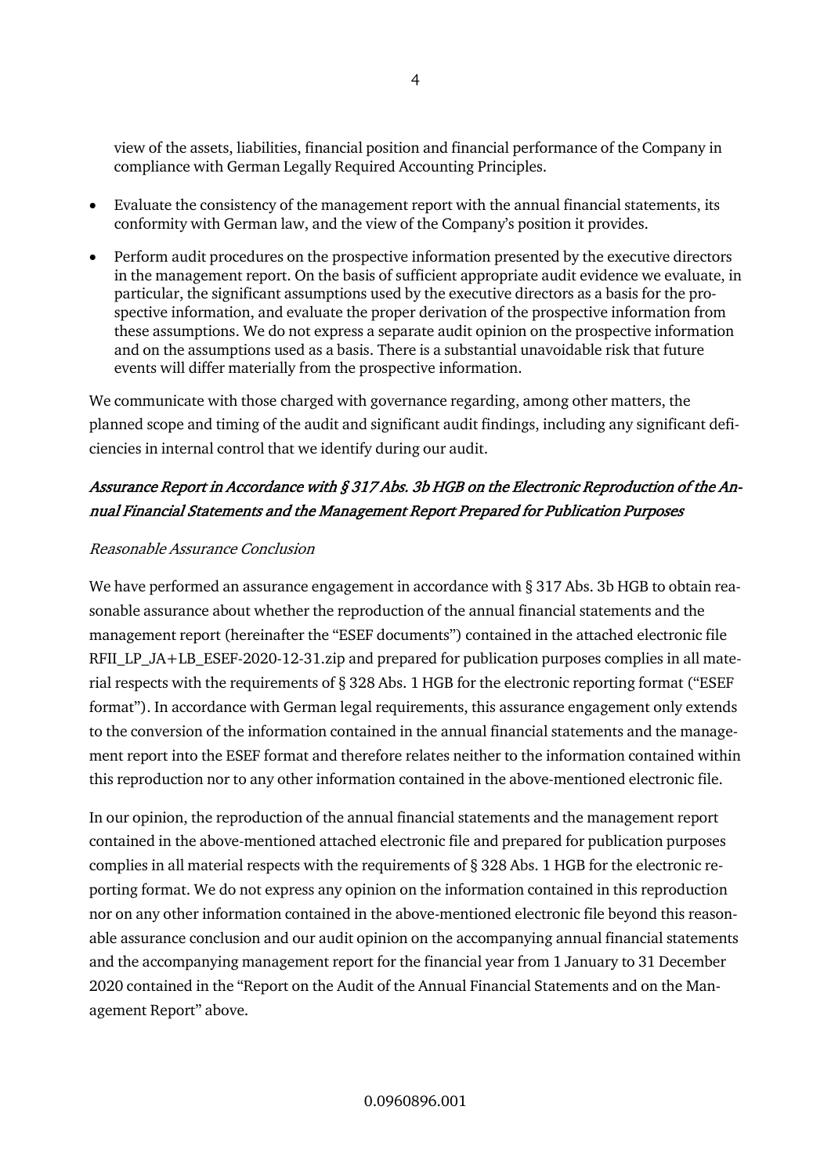view of the assets, liabilities, financial position and financial performance of the Company in compliance with German Legally Required Accounting Principles.

- Evaluate the consistency of the management report with the annual financial statements, its conformity with German law, and the view of the Company's position it provides.
- Perform audit procedures on the prospective information presented by the executive directors in the management report. On the basis of sufficient appropriate audit evidence we evaluate, in particular, the significant assumptions used by the executive directors as a basis for the prospective information, and evaluate the proper derivation of the prospective information from these assumptions. We do not express a separate audit opinion on the prospective information and on the assumptions used as a basis. There is a substantial unavoidable risk that future events will differ materially from the prospective information.

We communicate with those charged with governance regarding, among other matters, the planned scope and timing of the audit and significant audit findings, including any significant deficiencies in internal control that we identify during our audit.

# Assurance Report in Accordance with § 317 Abs. 3b HGB on the Electronic Reproduction of the Annual Financial Statements and the Management Report Prepared for Publication Purposes

## Reasonable Assurance Conclusion

We have performed an assurance engagement in accordance with § 317 Abs. 3b HGB to obtain reasonable assurance about whether the reproduction of the annual financial statements and the management report (hereinafter the "ESEF documents") contained in the attached electronic file RFII\_LP\_JA+LB\_ESEF-2020-12-31.zip and prepared for publication purposes complies in all material respects with the requirements of § 328 Abs. 1 HGB for the electronic reporting format ("ESEF format"). In accordance with German legal requirements, this assurance engagement only extends to the conversion of the information contained in the annual financial statements and the management report into the ESEF format and therefore relates neither to the information contained within this reproduction nor to any other information contained in the above-mentioned electronic file.

In our opinion, the reproduction of the annual financial statements and the management report contained in the above-mentioned attached electronic file and prepared for publication purposes complies in all material respects with the requirements of § 328 Abs. 1 HGB for the electronic reporting format. We do not express any opinion on the information contained in this reproduction nor on any other information contained in the above-mentioned electronic file beyond this reasonable assurance conclusion and our audit opinion on the accompanying annual financial statements and the accompanying management report for the financial year from 1 January to 31 December 2020 contained in the "Report on the Audit of the Annual Financial Statements and on the Management Report" above.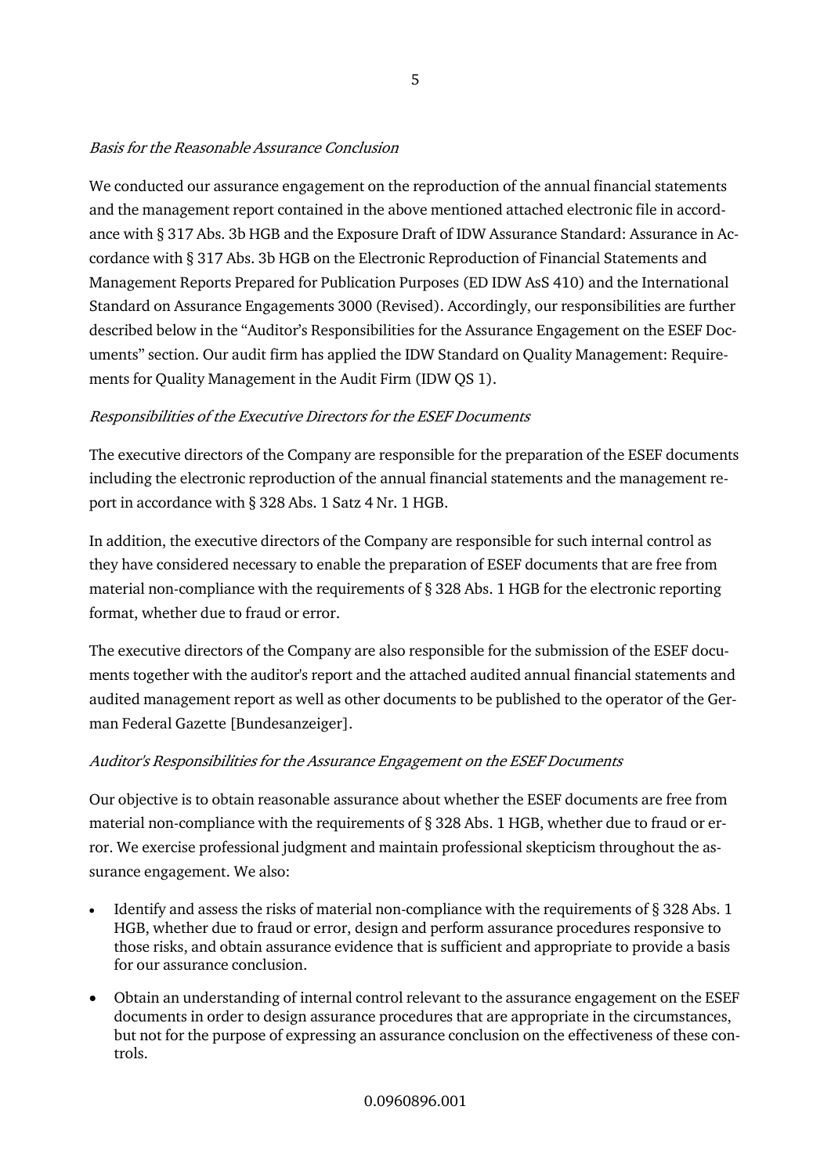## Basis for the Reasonable Assurance Conclusion

We conducted our assurance engagement on the reproduction of the annual financial statements and the management report contained in the above mentioned attached electronic file in accordance with § 317 Abs. 3b HGB and the Exposure Draft of IDW Assurance Standard: Assurance in Accordance with § 317 Abs. 3b HGB on the Electronic Reproduction of Financial Statements and Management Reports Prepared for Publication Purposes (ED IDW AsS 410) and the International Standard on Assurance Engagements 3000 (Revised). Accordingly, our responsibilities are further described below in the "Auditor's Responsibilities for the Assurance Engagement on the ESEF Documents" section. Our audit firm has applied the IDW Standard on Quality Management: Requirements for Quality Management in the Audit Firm (IDW QS 1).

## Responsibilities of the Executive Directors for the ESEF Documents

The executive directors of the Company are responsible for the preparation of the ESEF documents including the electronic reproduction of the annual financial statements and the management report in accordance with § 328 Abs. 1 Satz 4 Nr. 1 HGB.

In addition, the executive directors of the Company are responsible for such internal control as they have considered necessary to enable the preparation of ESEF documents that are free from material non-compliance with the requirements of § 328 Abs. 1 HGB for the electronic reporting format, whether due to fraud or error.

The executive directors of the Company are also responsible for the submission of the ESEF documents together with the auditor's report and the attached audited annual financial statements and audited management report as well as other documents to be published to the operator of the German Federal Gazette [Bundesanzeiger].

## Auditor's Responsibilities for the Assurance Engagement on the ESEF Documents

Our objective is to obtain reasonable assurance about whether the ESEF documents are free from material non-compliance with the requirements of § 328 Abs. 1 HGB, whether due to fraud or error. We exercise professional judgment and maintain professional skepticism throughout the assurance engagement. We also:

- Identify and assess the risks of material non-compliance with the requirements of § 328 Abs. 1 HGB, whether due to fraud or error, design and perform assurance procedures responsive to those risks, and obtain assurance evidence that is sufficient and appropriate to provide a basis for our assurance conclusion.
- Obtain an understanding of internal control relevant to the assurance engagement on the ESEF documents in order to design assurance procedures that are appropriate in the circumstances, but not for the purpose of expressing an assurance conclusion on the effectiveness of these controls.

### 0.0960896.001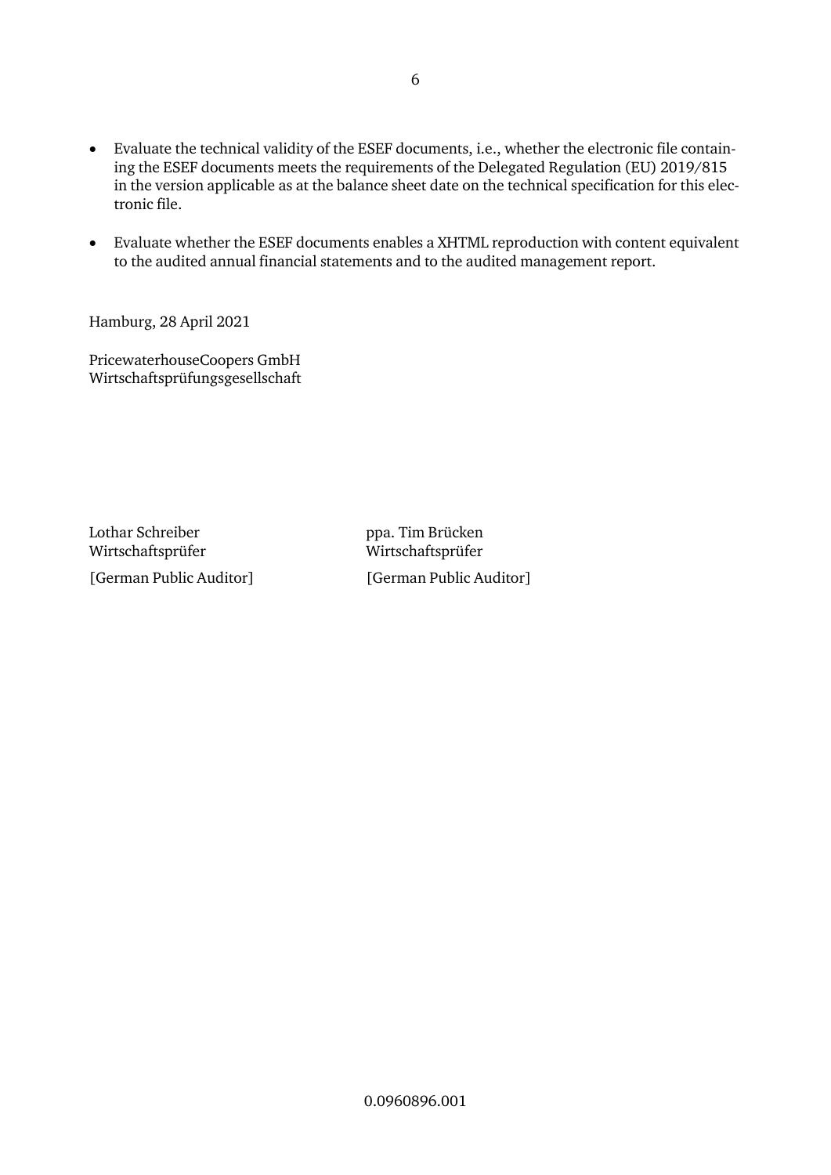- Evaluate the technical validity of the ESEF documents, i.e., whether the electronic file containing the ESEF documents meets the requirements of the Delegated Regulation (EU) 2019/815 in the version applicable as at the balance sheet date on the technical specification for this electronic file.
- Evaluate whether the ESEF documents enables a XHTML reproduction with content equivalent to the audited annual financial statements and to the audited management report.

Hamburg, 28 April 2021

PricewaterhouseCoopers GmbH Wirtschaftsprüfungsgesellschaft

Lothar Schreiber **ppa.** Tim Brücken Wirtschaftsprüfer Wirtschaftsprüfer

[German Public Auditor] [German Public Auditor]